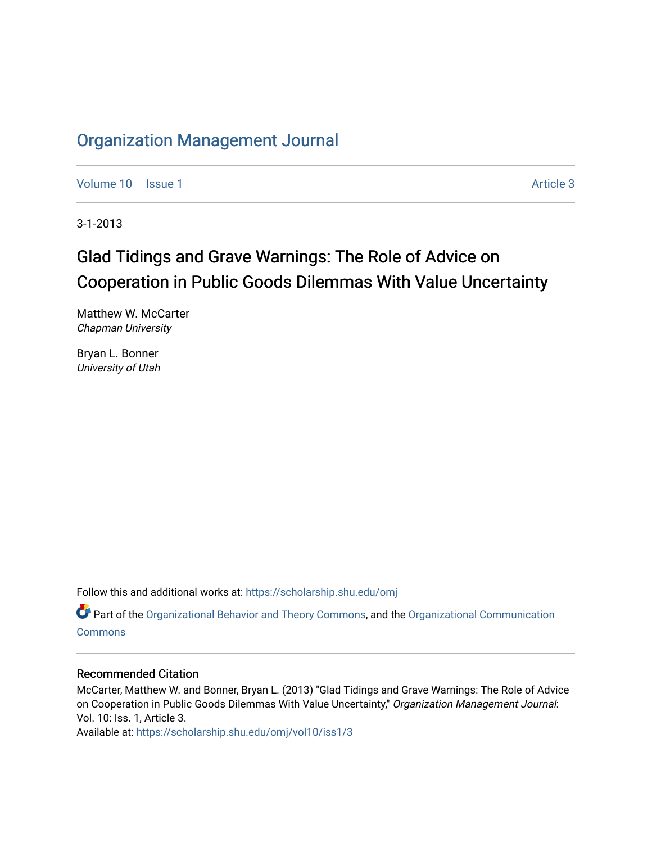## [Organization Management Journal](https://scholarship.shu.edu/omj)

[Volume 10](https://scholarship.shu.edu/omj/vol10) | [Issue 1](https://scholarship.shu.edu/omj/vol10/iss1) Article 3

3-1-2013

# Glad Tidings and Grave Warnings: The Role of Advice on Cooperation in Public Goods Dilemmas With Value Uncertainty

Matthew W. McCarter Chapman University

Bryan L. Bonner University of Utah

Follow this and additional works at: [https://scholarship.shu.edu/omj](https://scholarship.shu.edu/omj?utm_source=scholarship.shu.edu%2Fomj%2Fvol10%2Fiss1%2F3&utm_medium=PDF&utm_campaign=PDFCoverPages) 

Part of the [Organizational Behavior and Theory Commons,](http://network.bepress.com/hgg/discipline/639?utm_source=scholarship.shu.edu%2Fomj%2Fvol10%2Fiss1%2F3&utm_medium=PDF&utm_campaign=PDFCoverPages) and the [Organizational Communication](http://network.bepress.com/hgg/discipline/335?utm_source=scholarship.shu.edu%2Fomj%2Fvol10%2Fiss1%2F3&utm_medium=PDF&utm_campaign=PDFCoverPages) **[Commons](http://network.bepress.com/hgg/discipline/335?utm_source=scholarship.shu.edu%2Fomj%2Fvol10%2Fiss1%2F3&utm_medium=PDF&utm_campaign=PDFCoverPages)** 

## Recommended Citation

McCarter, Matthew W. and Bonner, Bryan L. (2013) "Glad Tidings and Grave Warnings: The Role of Advice on Cooperation in Public Goods Dilemmas With Value Uncertainty," Organization Management Journal: Vol. 10: Iss. 1, Article 3.

Available at: [https://scholarship.shu.edu/omj/vol10/iss1/3](https://scholarship.shu.edu/omj/vol10/iss1/3?utm_source=scholarship.shu.edu%2Fomj%2Fvol10%2Fiss1%2F3&utm_medium=PDF&utm_campaign=PDFCoverPages)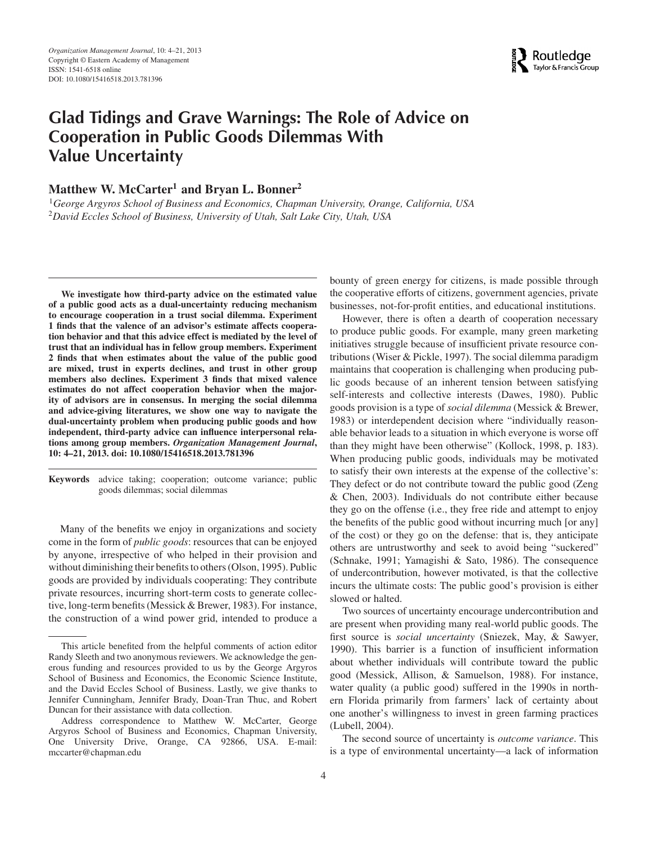

## **Glad Tidings and Grave Warnings: The Role of Advice on Cooperation in Public Goods Dilemmas With Value Uncertainty**

## **Matthew W. McCarter<sup>1</sup> and Bryan L. Bonner2**

<sup>1</sup>*George Argyros School of Business and Economics, Chapman University, Orange, California, USA* <sup>2</sup>*David Eccles School of Business, University of Utah, Salt Lake City, Utah, USA*

**We investigate how third-party advice on the estimated value of a public good acts as a dual-uncertainty reducing mechanism to encourage cooperation in a trust social dilemma. Experiment 1 finds that the valence of an advisor's estimate affects cooperation behavior and that this advice effect is mediated by the level of trust that an individual has in fellow group members. Experiment 2 finds that when estimates about the value of the public good are mixed, trust in experts declines, and trust in other group members also declines. Experiment 3 finds that mixed valence estimates do not affect cooperation behavior when the majority of advisors are in consensus. In merging the social dilemma and advice-giving literatures, we show one way to navigate the dual-uncertainty problem when producing public goods and how independent, third-party advice can influence interpersonal relations among group members.** *Organization Management Journal***, 10: 4–21, 2013. doi: 10.1080/15416518.2013.781396**

**Keywords** advice taking; cooperation; outcome variance; public goods dilemmas; social dilemmas

Many of the benefits we enjoy in organizations and society come in the form of *public goods*: resources that can be enjoyed by anyone, irrespective of who helped in their provision and without diminishing their benefits to others (Olson, 1995). Public goods are provided by individuals cooperating: They contribute private resources, incurring short-term costs to generate collective, long-term benefits (Messick & Brewer, 1983). For instance, the construction of a wind power grid, intended to produce a

bounty of green energy for citizens, is made possible through the cooperative efforts of citizens, government agencies, private businesses, not-for-profit entities, and educational institutions.

However, there is often a dearth of cooperation necessary to produce public goods. For example, many green marketing initiatives struggle because of insufficient private resource contributions (Wiser & Pickle, 1997). The social dilemma paradigm maintains that cooperation is challenging when producing public goods because of an inherent tension between satisfying self-interests and collective interests (Dawes, 1980). Public goods provision is a type of *social dilemma* (Messick & Brewer, 1983) or interdependent decision where "individually reasonable behavior leads to a situation in which everyone is worse off than they might have been otherwise" (Kollock, 1998, p. 183). When producing public goods, individuals may be motivated to satisfy their own interests at the expense of the collective's: They defect or do not contribute toward the public good (Zeng & Chen, 2003). Individuals do not contribute either because they go on the offense (i.e., they free ride and attempt to enjoy the benefits of the public good without incurring much [or any] of the cost) or they go on the defense: that is, they anticipate others are untrustworthy and seek to avoid being "suckered" (Schnake, 1991; Yamagishi & Sato, 1986). The consequence of undercontribution, however motivated, is that the collective incurs the ultimate costs: The public good's provision is either slowed or halted.

Two sources of uncertainty encourage undercontribution and are present when providing many real-world public goods. The first source is *social uncertainty* (Sniezek, May, & Sawyer, 1990). This barrier is a function of insufficient information about whether individuals will contribute toward the public good (Messick, Allison, & Samuelson, 1988). For instance, water quality (a public good) suffered in the 1990s in northern Florida primarily from farmers' lack of certainty about one another's willingness to invest in green farming practices (Lubell, 2004).

The second source of uncertainty is *outcome variance*. This is a type of environmental uncertainty—a lack of information

This article benefited from the helpful comments of action editor Randy Sleeth and two anonymous reviewers. We acknowledge the generous funding and resources provided to us by the George Argyros School of Business and Economics, the Economic Science Institute, and the David Eccles School of Business. Lastly, we give thanks to Jennifer Cunningham, Jennifer Brady, Doan-Tran Thuc, and Robert Duncan for their assistance with data collection.

Address correspondence to Matthew W. McCarter, George Argyros School of Business and Economics, Chapman University, One University Drive, Orange, CA 92866, USA. E-mail: mccarter@chapman.edu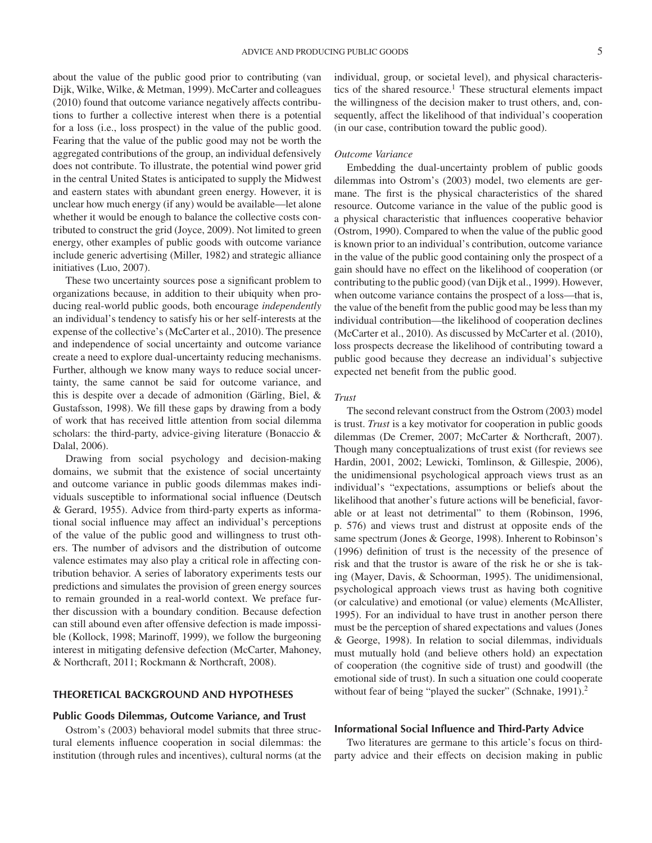about the value of the public good prior to contributing (van Dijk, Wilke, Wilke, & Metman, 1999). McCarter and colleagues (2010) found that outcome variance negatively affects contributions to further a collective interest when there is a potential for a loss (i.e., loss prospect) in the value of the public good. Fearing that the value of the public good may not be worth the aggregated contributions of the group, an individual defensively does not contribute. To illustrate, the potential wind power grid in the central United States is anticipated to supply the Midwest and eastern states with abundant green energy. However, it is unclear how much energy (if any) would be available—let alone whether it would be enough to balance the collective costs contributed to construct the grid (Joyce, 2009). Not limited to green energy, other examples of public goods with outcome variance include generic advertising (Miller, 1982) and strategic alliance initiatives (Luo, 2007).

These two uncertainty sources pose a significant problem to organizations because, in addition to their ubiquity when producing real-world public goods, both encourage *independently* an individual's tendency to satisfy his or her self-interests at the expense of the collective's (McCarter et al., 2010). The presence and independence of social uncertainty and outcome variance create a need to explore dual-uncertainty reducing mechanisms. Further, although we know many ways to reduce social uncertainty, the same cannot be said for outcome variance, and this is despite over a decade of admonition (Gärling, Biel, & Gustafsson, 1998). We fill these gaps by drawing from a body of work that has received little attention from social dilemma scholars: the third-party, advice-giving literature (Bonaccio & Dalal, 2006).

Drawing from social psychology and decision-making domains, we submit that the existence of social uncertainty and outcome variance in public goods dilemmas makes individuals susceptible to informational social influence (Deutsch & Gerard, 1955). Advice from third-party experts as informational social influence may affect an individual's perceptions of the value of the public good and willingness to trust others. The number of advisors and the distribution of outcome valence estimates may also play a critical role in affecting contribution behavior. A series of laboratory experiments tests our predictions and simulates the provision of green energy sources to remain grounded in a real-world context. We preface further discussion with a boundary condition. Because defection can still abound even after offensive defection is made impossible (Kollock, 1998; Marinoff, 1999), we follow the burgeoning interest in mitigating defensive defection (McCarter, Mahoney, & Northcraft, 2011; Rockmann & Northcraft, 2008).

#### **THEORETICAL BACKGROUND AND HYPOTHESES**

#### **Public Goods Dilemmas, Outcome Variance, and Trust**

Ostrom's (2003) behavioral model submits that three structural elements influence cooperation in social dilemmas: the institution (through rules and incentives), cultural norms (at the individual, group, or societal level), and physical characteristics of the shared resource.<sup>1</sup> These structural elements impact the willingness of the decision maker to trust others, and, consequently, affect the likelihood of that individual's cooperation (in our case, contribution toward the public good).

#### *Outcome Variance*

Embedding the dual-uncertainty problem of public goods dilemmas into Ostrom's (2003) model, two elements are germane. The first is the physical characteristics of the shared resource. Outcome variance in the value of the public good is a physical characteristic that influences cooperative behavior (Ostrom, 1990). Compared to when the value of the public good is known prior to an individual's contribution, outcome variance in the value of the public good containing only the prospect of a gain should have no effect on the likelihood of cooperation (or contributing to the public good) (van Dijk et al., 1999). However, when outcome variance contains the prospect of a loss—that is, the value of the benefit from the public good may be less than my individual contribution—the likelihood of cooperation declines (McCarter et al., 2010). As discussed by McCarter et al. (2010), loss prospects decrease the likelihood of contributing toward a public good because they decrease an individual's subjective expected net benefit from the public good.

#### *Trust*

The second relevant construct from the Ostrom (2003) model is trust. *Trust* is a key motivator for cooperation in public goods dilemmas (De Cremer, 2007; McCarter & Northcraft, 2007). Though many conceptualizations of trust exist (for reviews see Hardin, 2001, 2002; Lewicki, Tomlinson, & Gillespie, 2006), the unidimensional psychological approach views trust as an individual's "expectations, assumptions or beliefs about the likelihood that another's future actions will be beneficial, favorable or at least not detrimental" to them (Robinson, 1996, p. 576) and views trust and distrust at opposite ends of the same spectrum (Jones & George, 1998). Inherent to Robinson's (1996) definition of trust is the necessity of the presence of risk and that the trustor is aware of the risk he or she is taking (Mayer, Davis, & Schoorman, 1995). The unidimensional, psychological approach views trust as having both cognitive (or calculative) and emotional (or value) elements (McAllister, 1995). For an individual to have trust in another person there must be the perception of shared expectations and values (Jones & George, 1998). In relation to social dilemmas, individuals must mutually hold (and believe others hold) an expectation of cooperation (the cognitive side of trust) and goodwill (the emotional side of trust). In such a situation one could cooperate without fear of being "played the sucker" (Schnake, 1991).<sup>2</sup>

## **Informational Social Influence and Third-Party Advice**

Two literatures are germane to this article's focus on thirdparty advice and their effects on decision making in public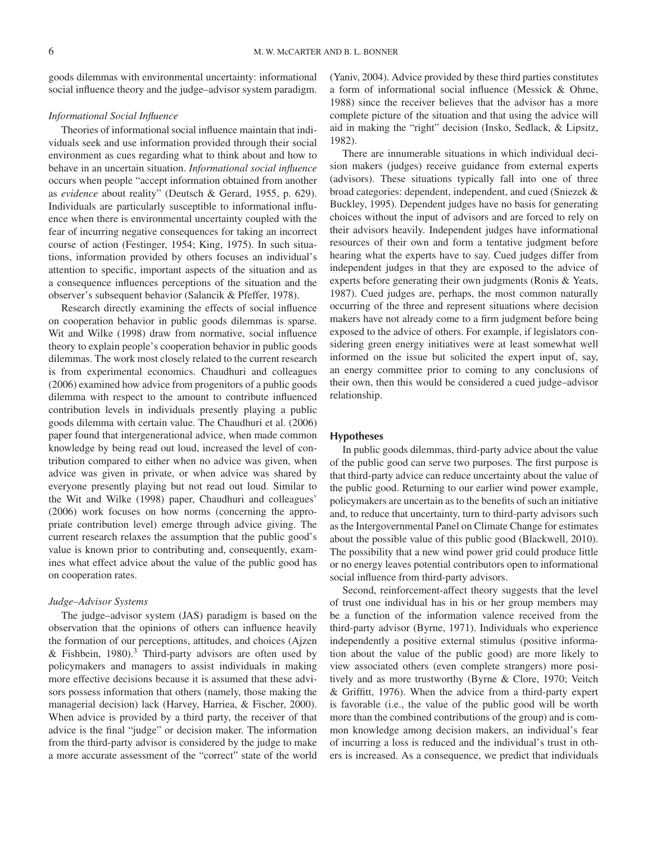goods dilemmas with environmental uncertainty: informational social influence theory and the judge–advisor system paradigm.

#### *Informational Social Influence*

Theories of informational social influence maintain that individuals seek and use information provided through their social environment as cues regarding what to think about and how to behave in an uncertain situation. *Informational social influence* occurs when people "accept information obtained from another as *evidence* about reality" (Deutsch & Gerard, 1955, p. 629). Individuals are particularly susceptible to informational influence when there is environmental uncertainty coupled with the fear of incurring negative consequences for taking an incorrect course of action (Festinger, 1954; King, 1975). In such situations, information provided by others focuses an individual's attention to specific, important aspects of the situation and as a consequence influences perceptions of the situation and the observer's subsequent behavior (Salancik & Pfeffer, 1978).

Research directly examining the effects of social influence on cooperation behavior in public goods dilemmas is sparse. Wit and Wilke (1998) draw from normative, social influence theory to explain people's cooperation behavior in public goods dilemmas. The work most closely related to the current research is from experimental economics. Chaudhuri and colleagues (2006) examined how advice from progenitors of a public goods dilemma with respect to the amount to contribute influenced contribution levels in individuals presently playing a public goods dilemma with certain value. The Chaudhuri et al. (2006) paper found that intergenerational advice, when made common knowledge by being read out loud, increased the level of contribution compared to either when no advice was given, when advice was given in private, or when advice was shared by everyone presently playing but not read out loud. Similar to the Wit and Wilke (1998) paper, Chaudhuri and colleagues' (2006) work focuses on how norms (concerning the appropriate contribution level) emerge through advice giving. The current research relaxes the assumption that the public good's value is known prior to contributing and, consequently, examines what effect advice about the value of the public good has on cooperation rates.

#### *Judge–Advisor Systems*

The judge–advisor system (JAS) paradigm is based on the observation that the opinions of others can influence heavily the formation of our perceptions, attitudes, and choices (Ajzen & Fishbein,  $1980$ ).<sup>3</sup> Third-party advisors are often used by policymakers and managers to assist individuals in making more effective decisions because it is assumed that these advisors possess information that others (namely, those making the managerial decision) lack (Harvey, Harriea, & Fischer, 2000). When advice is provided by a third party, the receiver of that advice is the final "judge" or decision maker. The information from the third-party advisor is considered by the judge to make a more accurate assessment of the "correct" state of the world

(Yaniv, 2004). Advice provided by these third parties constitutes a form of informational social influence (Messick & Ohme, 1988) since the receiver believes that the advisor has a more complete picture of the situation and that using the advice will aid in making the "right" decision (Insko, Sedlack, & Lipsitz, 1982).

There are innumerable situations in which individual decision makers (judges) receive guidance from external experts (advisors). These situations typically fall into one of three broad categories: dependent, independent, and cued (Sniezek & Buckley, 1995). Dependent judges have no basis for generating choices without the input of advisors and are forced to rely on their advisors heavily. Independent judges have informational resources of their own and form a tentative judgment before hearing what the experts have to say. Cued judges differ from independent judges in that they are exposed to the advice of experts before generating their own judgments (Ronis & Yeats, 1987). Cued judges are, perhaps, the most common naturally occurring of the three and represent situations where decision makers have not already come to a firm judgment before being exposed to the advice of others. For example, if legislators considering green energy initiatives were at least somewhat well informed on the issue but solicited the expert input of, say, an energy committee prior to coming to any conclusions of their own, then this would be considered a cued judge–advisor relationship.

### **Hypotheses**

In public goods dilemmas, third-party advice about the value of the public good can serve two purposes. The first purpose is that third-party advice can reduce uncertainty about the value of the public good. Returning to our earlier wind power example, policymakers are uncertain as to the benefits of such an initiative and, to reduce that uncertainty, turn to third-party advisors such as the Intergovernmental Panel on Climate Change for estimates about the possible value of this public good (Blackwell, 2010). The possibility that a new wind power grid could produce little or no energy leaves potential contributors open to informational social influence from third-party advisors.

Second, reinforcement-affect theory suggests that the level of trust one individual has in his or her group members may be a function of the information valence received from the third-party advisor (Byrne, 1971). Individuals who experience independently a positive external stimulus (positive information about the value of the public good) are more likely to view associated others (even complete strangers) more positively and as more trustworthy (Byrne & Clore, 1970; Veitch & Griffitt, 1976). When the advice from a third-party expert is favorable (i.e., the value of the public good will be worth more than the combined contributions of the group) and is common knowledge among decision makers, an individual's fear of incurring a loss is reduced and the individual's trust in others is increased. As a consequence, we predict that individuals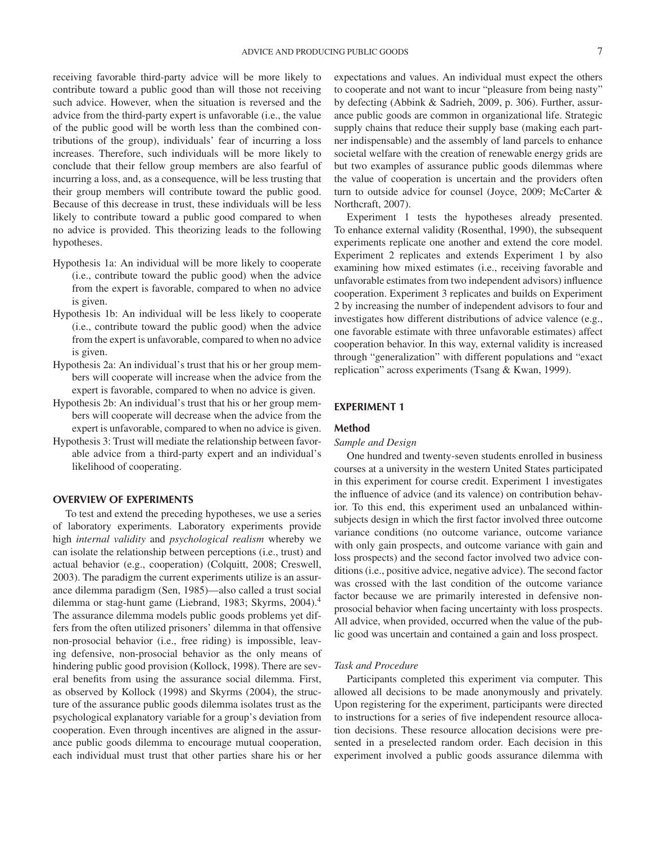receiving favorable third-party advice will be more likely to contribute toward a public good than will those not receiving such advice. However, when the situation is reversed and the advice from the third-party expert is unfavorable (i.e., the value of the public good will be worth less than the combined contributions of the group), individuals' fear of incurring a loss increases. Therefore, such individuals will be more likely to conclude that their fellow group members are also fearful of incurring a loss, and, as a consequence, will be less trusting that their group members will contribute toward the public good. Because of this decrease in trust, these individuals will be less likely to contribute toward a public good compared to when no advice is provided. This theorizing leads to the following hypotheses.

- Hypothesis 1a: An individual will be more likely to cooperate (i.e., contribute toward the public good) when the advice from the expert is favorable, compared to when no advice is given.
- Hypothesis 1b: An individual will be less likely to cooperate (i.e., contribute toward the public good) when the advice from the expert is unfavorable, compared to when no advice is given.
- Hypothesis 2a: An individual's trust that his or her group members will cooperate will increase when the advice from the expert is favorable, compared to when no advice is given.
- Hypothesis 2b: An individual's trust that his or her group members will cooperate will decrease when the advice from the expert is unfavorable, compared to when no advice is given.
- Hypothesis 3: Trust will mediate the relationship between favorable advice from a third-party expert and an individual's likelihood of cooperating.

#### **OVERVIEW OF EXPERIMENTS**

To test and extend the preceding hypotheses, we use a series of laboratory experiments. Laboratory experiments provide high *internal validity* and *psychological realism* whereby we can isolate the relationship between perceptions (i.e., trust) and actual behavior (e.g., cooperation) (Colquitt, 2008; Creswell, 2003). The paradigm the current experiments utilize is an assurance dilemma paradigm (Sen, 1985)—also called a trust social dilemma or stag-hunt game (Liebrand, 1983; Skyrms, 2004).<sup>4</sup> The assurance dilemma models public goods problems yet differs from the often utilized prisoners' dilemma in that offensive non-prosocial behavior (i.e., free riding) is impossible, leaving defensive, non-prosocial behavior as the only means of hindering public good provision (Kollock, 1998). There are several benefits from using the assurance social dilemma. First, as observed by Kollock (1998) and Skyrms (2004), the structure of the assurance public goods dilemma isolates trust as the psychological explanatory variable for a group's deviation from cooperation. Even through incentives are aligned in the assurance public goods dilemma to encourage mutual cooperation, each individual must trust that other parties share his or her expectations and values. An individual must expect the others to cooperate and not want to incur "pleasure from being nasty" by defecting (Abbink & Sadrieh, 2009, p. 306). Further, assurance public goods are common in organizational life. Strategic supply chains that reduce their supply base (making each partner indispensable) and the assembly of land parcels to enhance societal welfare with the creation of renewable energy grids are but two examples of assurance public goods dilemmas where the value of cooperation is uncertain and the providers often turn to outside advice for counsel (Joyce, 2009; McCarter & Northcraft, 2007).

Experiment 1 tests the hypotheses already presented. To enhance external validity (Rosenthal, 1990), the subsequent experiments replicate one another and extend the core model. Experiment 2 replicates and extends Experiment 1 by also examining how mixed estimates (i.e., receiving favorable and unfavorable estimates from two independent advisors) influence cooperation. Experiment 3 replicates and builds on Experiment 2 by increasing the number of independent advisors to four and investigates how different distributions of advice valence (e.g., one favorable estimate with three unfavorable estimates) affect cooperation behavior. In this way, external validity is increased through "generalization" with different populations and "exact replication" across experiments (Tsang & Kwan, 1999).

#### **EXPERIMENT 1**

#### **Method**

## *Sample and Design*

One hundred and twenty-seven students enrolled in business courses at a university in the western United States participated in this experiment for course credit. Experiment 1 investigates the influence of advice (and its valence) on contribution behavior. To this end, this experiment used an unbalanced withinsubjects design in which the first factor involved three outcome variance conditions (no outcome variance, outcome variance with only gain prospects, and outcome variance with gain and loss prospects) and the second factor involved two advice conditions (i.e., positive advice, negative advice). The second factor was crossed with the last condition of the outcome variance factor because we are primarily interested in defensive nonprosocial behavior when facing uncertainty with loss prospects. All advice, when provided, occurred when the value of the public good was uncertain and contained a gain and loss prospect.

#### *Task and Procedure*

Participants completed this experiment via computer. This allowed all decisions to be made anonymously and privately. Upon registering for the experiment, participants were directed to instructions for a series of five independent resource allocation decisions. These resource allocation decisions were presented in a preselected random order. Each decision in this experiment involved a public goods assurance dilemma with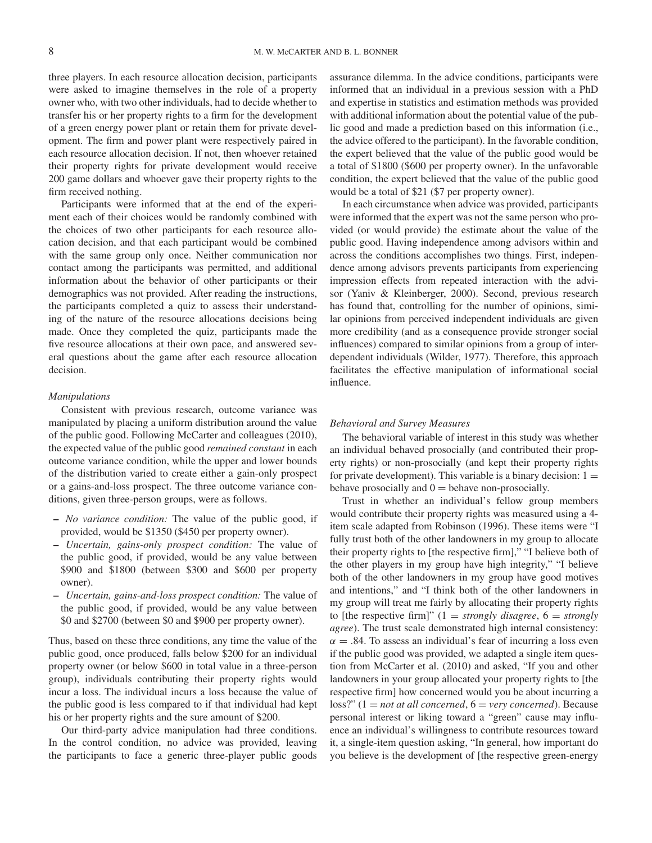three players. In each resource allocation decision, participants were asked to imagine themselves in the role of a property owner who, with two other individuals, had to decide whether to transfer his or her property rights to a firm for the development of a green energy power plant or retain them for private development. The firm and power plant were respectively paired in each resource allocation decision. If not, then whoever retained their property rights for private development would receive 200 game dollars and whoever gave their property rights to the firm received nothing.

Participants were informed that at the end of the experiment each of their choices would be randomly combined with the choices of two other participants for each resource allocation decision, and that each participant would be combined with the same group only once. Neither communication nor contact among the participants was permitted, and additional information about the behavior of other participants or their demographics was not provided. After reading the instructions, the participants completed a quiz to assess their understanding of the nature of the resource allocations decisions being made. Once they completed the quiz, participants made the five resource allocations at their own pace, and answered several questions about the game after each resource allocation decision.

#### *Manipulations*

Consistent with previous research, outcome variance was manipulated by placing a uniform distribution around the value of the public good. Following McCarter and colleagues (2010), the expected value of the public good *remained constant* in each outcome variance condition, while the upper and lower bounds of the distribution varied to create either a gain-only prospect or a gains-and-loss prospect. The three outcome variance conditions, given three-person groups, were as follows.

- **–** *No variance condition:* The value of the public good, if provided, would be \$1350 (\$450 per property owner).
- **–** *Uncertain, gains-only prospect condition:* The value of the public good, if provided, would be any value between \$900 and \$1800 (between \$300 and \$600 per property owner).
- **–** *Uncertain, gains-and-loss prospect condition:* The value of the public good, if provided, would be any value between \$0 and \$2700 (between \$0 and \$900 per property owner).

Thus, based on these three conditions, any time the value of the public good, once produced, falls below \$200 for an individual property owner (or below \$600 in total value in a three-person group), individuals contributing their property rights would incur a loss. The individual incurs a loss because the value of the public good is less compared to if that individual had kept his or her property rights and the sure amount of \$200.

Our third-party advice manipulation had three conditions. In the control condition, no advice was provided, leaving the participants to face a generic three-player public goods

assurance dilemma. In the advice conditions, participants were informed that an individual in a previous session with a PhD and expertise in statistics and estimation methods was provided with additional information about the potential value of the public good and made a prediction based on this information (i.e., the advice offered to the participant). In the favorable condition, the expert believed that the value of the public good would be a total of \$1800 (\$600 per property owner). In the unfavorable condition, the expert believed that the value of the public good would be a total of \$21 (\$7 per property owner).

In each circumstance when advice was provided, participants were informed that the expert was not the same person who provided (or would provide) the estimate about the value of the public good. Having independence among advisors within and across the conditions accomplishes two things. First, independence among advisors prevents participants from experiencing impression effects from repeated interaction with the advisor (Yaniv & Kleinberger, 2000). Second, previous research has found that, controlling for the number of opinions, similar opinions from perceived independent individuals are given more credibility (and as a consequence provide stronger social influences) compared to similar opinions from a group of interdependent individuals (Wilder, 1977). Therefore, this approach facilitates the effective manipulation of informational social influence.

#### *Behavioral and Survey Measures*

The behavioral variable of interest in this study was whether an individual behaved prosocially (and contributed their property rights) or non-prosocially (and kept their property rights for private development). This variable is a binary decision:  $1 =$ behave prosocially and  $0 =$  behave non-prosocially.

Trust in whether an individual's fellow group members would contribute their property rights was measured using a 4 item scale adapted from Robinson (1996). These items were "I fully trust both of the other landowners in my group to allocate their property rights to [the respective firm]," "I believe both of the other players in my group have high integrity," "I believe both of the other landowners in my group have good motives and intentions," and "I think both of the other landowners in my group will treat me fairly by allocating their property rights to [the respective firm]"  $(1 = strongly disagree, 6 = strongly)$ *agree*). The trust scale demonstrated high internal consistency:  $\alpha = .84$ . To assess an individual's fear of incurring a loss even if the public good was provided, we adapted a single item question from McCarter et al. (2010) and asked, "If you and other landowners in your group allocated your property rights to [the respective firm] how concerned would you be about incurring a loss?" (1 = *not at all concerned*, 6 = *very concerned*). Because personal interest or liking toward a "green" cause may influence an individual's willingness to contribute resources toward it, a single-item question asking, "In general, how important do you believe is the development of [the respective green-energy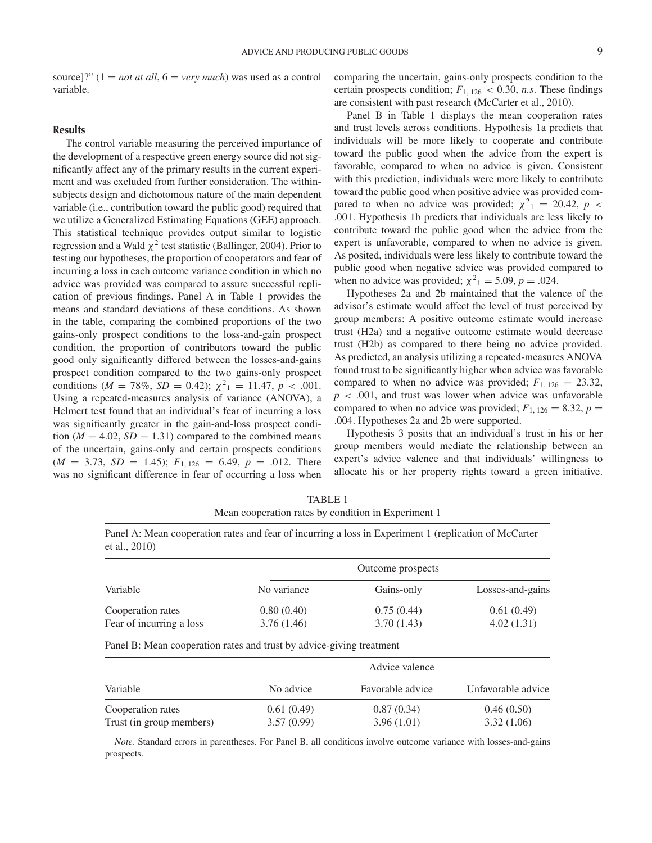source]?"  $(1 = not at all, 6 = very much)$  was used as a control variable.

#### **Results**

The control variable measuring the perceived importance of the development of a respective green energy source did not significantly affect any of the primary results in the current experiment and was excluded from further consideration. The withinsubjects design and dichotomous nature of the main dependent variable (i.e., contribution toward the public good) required that we utilize a Generalized Estimating Equations (GEE) approach. This statistical technique provides output similar to logistic regression and a Wald  $\chi^2$  test statistic (Ballinger, 2004). Prior to testing our hypotheses, the proportion of cooperators and fear of incurring a loss in each outcome variance condition in which no advice was provided was compared to assure successful replication of previous findings. Panel A in Table 1 provides the means and standard deviations of these conditions. As shown in the table, comparing the combined proportions of the two gains-only prospect conditions to the loss-and-gain prospect condition, the proportion of contributors toward the public good only significantly differed between the losses-and-gains prospect condition compared to the two gains-only prospect conditions  $(M = 78\%, SD = 0.42)$ ;  $\chi^2_1 = 11.47, p < .001$ . Using a repeated-measures analysis of variance (ANOVA), a Helmert test found that an individual's fear of incurring a loss was significantly greater in the gain-and-loss prospect condition ( $M = 4.02$ ,  $SD = 1.31$ ) compared to the combined means of the uncertain, gains-only and certain prospects conditions  $(M = 3.73, SD = 1.45);$   $F_{1,126} = 6.49, p = .012.$  There was no significant difference in fear of occurring a loss when

comparing the uncertain, gains-only prospects condition to the certain prospects condition;  $F_{1, 126}$  < 0.30, *n.s.* These findings are consistent with past research (McCarter et al., 2010).

Panel B in Table 1 displays the mean cooperation rates and trust levels across conditions. Hypothesis 1a predicts that individuals will be more likely to cooperate and contribute toward the public good when the advice from the expert is favorable, compared to when no advice is given. Consistent with this prediction, individuals were more likely to contribute toward the public good when positive advice was provided compared to when no advice was provided;  $\chi^2$ <sub>1</sub> = 20.42, *p* < .001. Hypothesis 1b predicts that individuals are less likely to contribute toward the public good when the advice from the expert is unfavorable, compared to when no advice is given. As posited, individuals were less likely to contribute toward the public good when negative advice was provided compared to when no advice was provided;  $\chi^2_1 = 5.09$ ,  $p = .024$ .

Hypotheses 2a and 2b maintained that the valence of the advisor's estimate would affect the level of trust perceived by group members: A positive outcome estimate would increase trust (H2a) and a negative outcome estimate would decrease trust (H2b) as compared to there being no advice provided. As predicted, an analysis utilizing a repeated-measures ANOVA found trust to be significantly higher when advice was favorable compared to when no advice was provided;  $F_{1, 126} = 23.32$ , *p* < .001, and trust was lower when advice was unfavorable compared to when no advice was provided;  $F_{1, 126} = 8.32$ ,  $p =$ .004. Hypotheses 2a and 2b were supported.

Hypothesis 3 posits that an individual's trust in his or her group members would mediate the relationship between an expert's advice valence and that individuals' willingness to allocate his or her property rights toward a green initiative.

TABLE 1 Mean cooperation rates by condition in Experiment 1

Panel A: Mean cooperation rates and fear of incurring a loss in Experiment 1 (replication of McCarter et al., 2010)

|                          |             | Outcome prospects |                  |
|--------------------------|-------------|-------------------|------------------|
| Variable                 | No variance | Gains-only        | Losses-and-gains |
| Cooperation rates        | 0.80(0.40)  | 0.75(0.44)        | 0.61(0.49)       |
| Fear of incurring a loss | 3.76(1.46)  | 3.70(1.43)        | 4.02(1.31)       |

Panel B: Mean cooperation rates and trust by advice-giving treatment

|                          |            | Advice valence   |                    |
|--------------------------|------------|------------------|--------------------|
| Variable                 | No advice  | Favorable advice | Unfavorable advice |
| Cooperation rates        | 0.61(0.49) | 0.87(0.34)       | 0.46(0.50)         |
| Trust (in group members) | 3.57(0.99) | 3.96(1.01)       | 3.32(1.06)         |

*Note*. Standard errors in parentheses. For Panel B, all conditions involve outcome variance with losses-and-gains prospects.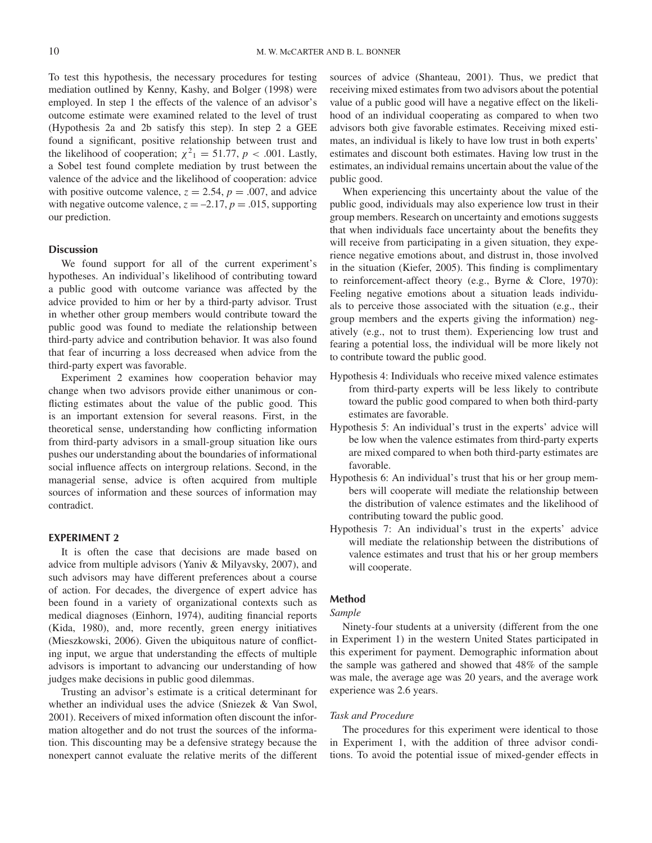To test this hypothesis, the necessary procedures for testing mediation outlined by Kenny, Kashy, and Bolger (1998) were employed. In step 1 the effects of the valence of an advisor's outcome estimate were examined related to the level of trust (Hypothesis 2a and 2b satisfy this step). In step 2 a GEE found a significant, positive relationship between trust and the likelihood of cooperation;  $\chi^2_1 = 51.77$ ,  $p < .001$ . Lastly, a Sobel test found complete mediation by trust between the valence of the advice and the likelihood of cooperation: advice with positive outcome valence,  $z = 2.54$ ,  $p = .007$ , and advice with negative outcome valence,  $z = -2.17$ ,  $p = .015$ , supporting our prediction.

#### **Discussion**

We found support for all of the current experiment's hypotheses. An individual's likelihood of contributing toward a public good with outcome variance was affected by the advice provided to him or her by a third-party advisor. Trust in whether other group members would contribute toward the public good was found to mediate the relationship between third-party advice and contribution behavior. It was also found that fear of incurring a loss decreased when advice from the third-party expert was favorable.

Experiment 2 examines how cooperation behavior may change when two advisors provide either unanimous or conflicting estimates about the value of the public good. This is an important extension for several reasons. First, in the theoretical sense, understanding how conflicting information from third-party advisors in a small-group situation like ours pushes our understanding about the boundaries of informational social influence affects on intergroup relations. Second, in the managerial sense, advice is often acquired from multiple sources of information and these sources of information may contradict.

## **EXPERIMENT 2**

It is often the case that decisions are made based on advice from multiple advisors (Yaniv & Milyavsky, 2007), and such advisors may have different preferences about a course of action. For decades, the divergence of expert advice has been found in a variety of organizational contexts such as medical diagnoses (Einhorn, 1974), auditing financial reports (Kida, 1980), and, more recently, green energy initiatives (Mieszkowski, 2006). Given the ubiquitous nature of conflicting input, we argue that understanding the effects of multiple advisors is important to advancing our understanding of how judges make decisions in public good dilemmas.

Trusting an advisor's estimate is a critical determinant for whether an individual uses the advice (Sniezek & Van Swol, 2001). Receivers of mixed information often discount the information altogether and do not trust the sources of the information. This discounting may be a defensive strategy because the nonexpert cannot evaluate the relative merits of the different

sources of advice (Shanteau, 2001). Thus, we predict that receiving mixed estimates from two advisors about the potential value of a public good will have a negative effect on the likelihood of an individual cooperating as compared to when two advisors both give favorable estimates. Receiving mixed estimates, an individual is likely to have low trust in both experts' estimates and discount both estimates. Having low trust in the estimates, an individual remains uncertain about the value of the public good.

When experiencing this uncertainty about the value of the public good, individuals may also experience low trust in their group members. Research on uncertainty and emotions suggests that when individuals face uncertainty about the benefits they will receive from participating in a given situation, they experience negative emotions about, and distrust in, those involved in the situation (Kiefer, 2005). This finding is complimentary to reinforcement-affect theory (e.g., Byrne & Clore, 1970): Feeling negative emotions about a situation leads individuals to perceive those associated with the situation (e.g., their group members and the experts giving the information) negatively (e.g., not to trust them). Experiencing low trust and fearing a potential loss, the individual will be more likely not to contribute toward the public good.

- Hypothesis 4: Individuals who receive mixed valence estimates from third-party experts will be less likely to contribute toward the public good compared to when both third-party estimates are favorable.
- Hypothesis 5: An individual's trust in the experts' advice will be low when the valence estimates from third-party experts are mixed compared to when both third-party estimates are favorable.
- Hypothesis 6: An individual's trust that his or her group members will cooperate will mediate the relationship between the distribution of valence estimates and the likelihood of contributing toward the public good.
- Hypothesis 7: An individual's trust in the experts' advice will mediate the relationship between the distributions of valence estimates and trust that his or her group members will cooperate.

## **Method**

#### *Sample*

Ninety-four students at a university (different from the one in Experiment 1) in the western United States participated in this experiment for payment. Demographic information about the sample was gathered and showed that 48% of the sample was male, the average age was 20 years, and the average work experience was 2.6 years.

#### *Task and Procedure*

The procedures for this experiment were identical to those in Experiment 1, with the addition of three advisor conditions. To avoid the potential issue of mixed-gender effects in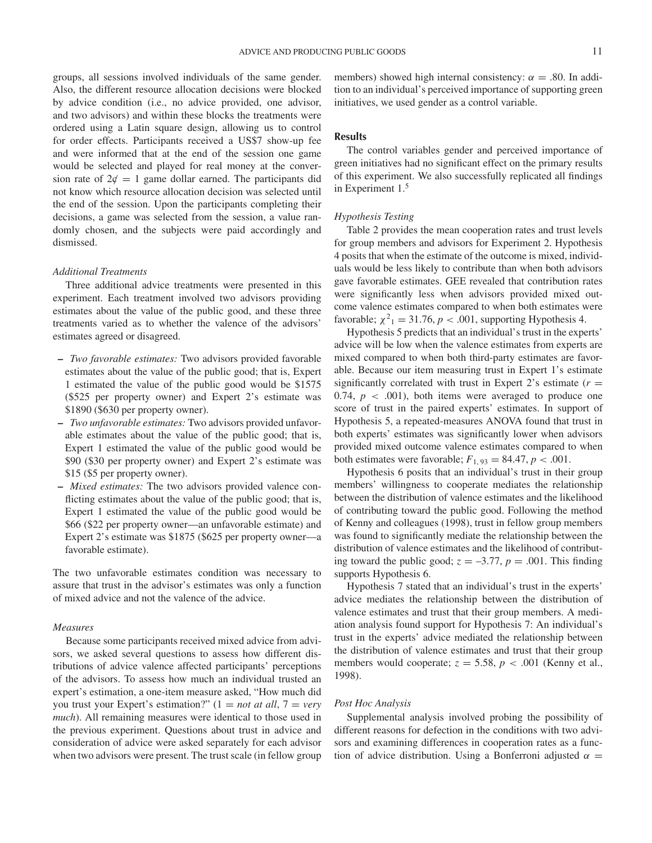groups, all sessions involved individuals of the same gender. Also, the different resource allocation decisions were blocked by advice condition (i.e., no advice provided, one advisor, and two advisors) and within these blocks the treatments were ordered using a Latin square design, allowing us to control for order effects. Participants received a US\$7 show-up fee and were informed that at the end of the session one game would be selected and played for real money at the conversion rate of  $2\varphi = 1$  game dollar earned. The participants did not know which resource allocation decision was selected until the end of the session. Upon the participants completing their decisions, a game was selected from the session, a value randomly chosen, and the subjects were paid accordingly and dismissed.

#### *Additional Treatments*

Three additional advice treatments were presented in this experiment. Each treatment involved two advisors providing estimates about the value of the public good, and these three treatments varied as to whether the valence of the advisors' estimates agreed or disagreed.

- **–** *Two favorable estimates:* Two advisors provided favorable estimates about the value of the public good; that is, Expert 1 estimated the value of the public good would be \$1575 (\$525 per property owner) and Expert 2's estimate was \$1890 (\$630 per property owner).
- **–** *Two unfavorable estimates:* Two advisors provided unfavorable estimates about the value of the public good; that is, Expert 1 estimated the value of the public good would be \$90 (\$30 per property owner) and Expert 2's estimate was \$15 (\$5 per property owner).
- **–** *Mixed estimates:* The two advisors provided valence conflicting estimates about the value of the public good; that is, Expert 1 estimated the value of the public good would be \$66 (\$22 per property owner—an unfavorable estimate) and Expert 2's estimate was \$1875 (\$625 per property owner—a favorable estimate).

The two unfavorable estimates condition was necessary to assure that trust in the advisor's estimates was only a function of mixed advice and not the valence of the advice.

## *Measures*

Because some participants received mixed advice from advisors, we asked several questions to assess how different distributions of advice valence affected participants' perceptions of the advisors. To assess how much an individual trusted an expert's estimation, a one-item measure asked, "How much did you trust your Expert's estimation?"  $(1 = not at all, 7 = very$ *much*). All remaining measures were identical to those used in the previous experiment. Questions about trust in advice and consideration of advice were asked separately for each advisor when two advisors were present. The trust scale (in fellow group

members) showed high internal consistency:  $\alpha = .80$ . In addition to an individual's perceived importance of supporting green initiatives, we used gender as a control variable.

#### **Results**

The control variables gender and perceived importance of green initiatives had no significant effect on the primary results of this experiment. We also successfully replicated all findings in Experiment 1.5

#### *Hypothesis Testing*

Table 2 provides the mean cooperation rates and trust levels for group members and advisors for Experiment 2. Hypothesis 4 posits that when the estimate of the outcome is mixed, individuals would be less likely to contribute than when both advisors gave favorable estimates. GEE revealed that contribution rates were significantly less when advisors provided mixed outcome valence estimates compared to when both estimates were favorable;  $\chi^2_1 = 31.76$ ,  $p < .001$ , supporting Hypothesis 4.

Hypothesis 5 predicts that an individual's trust in the experts' advice will be low when the valence estimates from experts are mixed compared to when both third-party estimates are favorable. Because our item measuring trust in Expert 1's estimate significantly correlated with trust in Expert 2's estimate  $(r =$ 0.74,  $p < .001$ ), both items were averaged to produce one score of trust in the paired experts' estimates. In support of Hypothesis 5, a repeated-measures ANOVA found that trust in both experts' estimates was significantly lower when advisors provided mixed outcome valence estimates compared to when both estimates were favorable;  $F_{1, 93} = 84.47, p < .001$ .

Hypothesis 6 posits that an individual's trust in their group members' willingness to cooperate mediates the relationship between the distribution of valence estimates and the likelihood of contributing toward the public good. Following the method of Kenny and colleagues (1998), trust in fellow group members was found to significantly mediate the relationship between the distribution of valence estimates and the likelihood of contributing toward the public good;  $z = -3.77$ ,  $p = .001$ . This finding supports Hypothesis 6.

Hypothesis 7 stated that an individual's trust in the experts' advice mediates the relationship between the distribution of valence estimates and trust that their group members. A mediation analysis found support for Hypothesis 7: An individual's trust in the experts' advice mediated the relationship between the distribution of valence estimates and trust that their group members would cooperate;  $z = 5.58$ ,  $p < .001$  (Kenny et al., 1998).

#### *Post Hoc Analysis*

Supplemental analysis involved probing the possibility of different reasons for defection in the conditions with two advisors and examining differences in cooperation rates as a function of advice distribution. Using a Bonferroni adjusted  $\alpha =$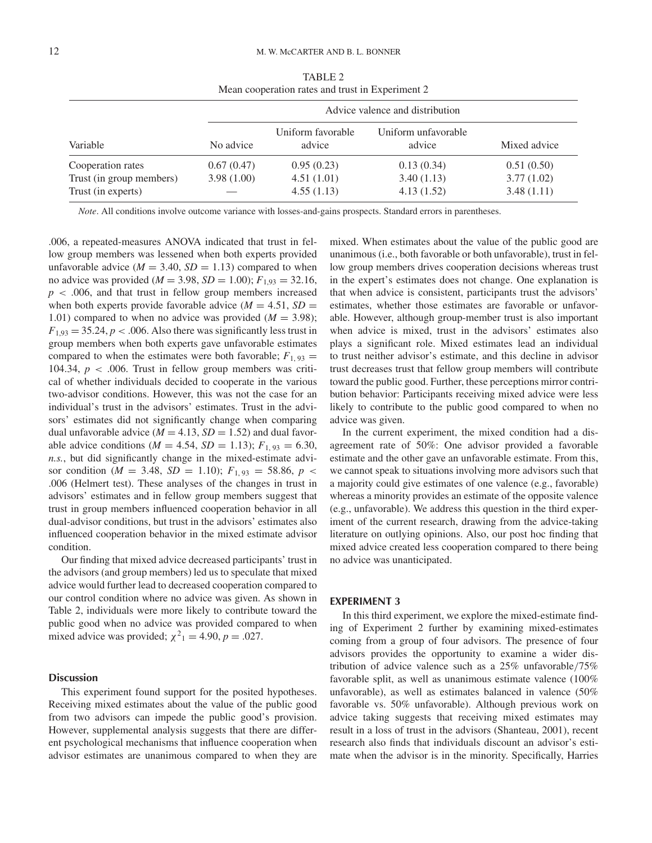|                          |            | Mean cooperation rates and trust in Experiment 2 |                                 |              |
|--------------------------|------------|--------------------------------------------------|---------------------------------|--------------|
|                          |            |                                                  | Advice valence and distribution |              |
| Variable                 | No advice  | Uniform favorable<br>advice                      | Uniform unfavorable<br>advice   | Mixed advice |
| Cooperation rates        | 0.67(0.47) | 0.95(0.23)                                       | 0.13(0.34)                      | 0.51(0.50)   |
| Trust (in group members) | 3.98(1.00) | 4.51(1.01)                                       | 3.40(1.13)                      | 3.77(1.02)   |
| Trust (in experts)       |            | 4.55(1.13)                                       | 4.13(1.52)                      | 3.48(1.11)   |

TABLE 2 Mean cooperation rates and trust in Experiment 2

*Note*. All conditions involve outcome variance with losses-and-gains prospects. Standard errors in parentheses.

.006, a repeated-measures ANOVA indicated that trust in fellow group members was lessened when both experts provided unfavorable advice ( $M = 3.40$ ,  $SD = 1.13$ ) compared to when no advice was provided ( $M = 3.98$ ,  $SD = 1.00$ );  $F_{1,93} = 32.16$ ,  $p < .006$ , and that trust in fellow group members increased when both experts provide favorable advice  $(M = 4.51, SD =$ 1.01) compared to when no advice was provided  $(M = 3.98)$ ;  $F_{1,93} = 35.24$ ,  $p < .006$ . Also there was significantly less trust in group members when both experts gave unfavorable estimates compared to when the estimates were both favorable;  $F_{1, 93} =$ 104.34,  $p < .006$ . Trust in fellow group members was critical of whether individuals decided to cooperate in the various two-advisor conditions. However, this was not the case for an individual's trust in the advisors' estimates. Trust in the advisors' estimates did not significantly change when comparing dual unfavorable advice  $(M = 4.13, SD = 1.52)$  and dual favorable advice conditions ( $M = 4.54$ ,  $SD = 1.13$ );  $F_{1, 93} = 6.30$ , *n.s.*, but did significantly change in the mixed-estimate advisor condition ( $M = 3.48$ ,  $SD = 1.10$ );  $F_{1,93} = 58.86$ ,  $p <$ .006 (Helmert test). These analyses of the changes in trust in advisors' estimates and in fellow group members suggest that trust in group members influenced cooperation behavior in all dual-advisor conditions, but trust in the advisors' estimates also influenced cooperation behavior in the mixed estimate advisor condition.

Our finding that mixed advice decreased participants' trust in the advisors (and group members) led us to speculate that mixed advice would further lead to decreased cooperation compared to our control condition where no advice was given. As shown in Table 2, individuals were more likely to contribute toward the public good when no advice was provided compared to when mixed advice was provided;  $\chi^2_1 = 4.90$ ,  $p = .027$ .

## **Discussion**

This experiment found support for the posited hypotheses. Receiving mixed estimates about the value of the public good from two advisors can impede the public good's provision. However, supplemental analysis suggests that there are different psychological mechanisms that influence cooperation when advisor estimates are unanimous compared to when they are mixed. When estimates about the value of the public good are unanimous (i.e., both favorable or both unfavorable), trust in fellow group members drives cooperation decisions whereas trust in the expert's estimates does not change. One explanation is that when advice is consistent, participants trust the advisors' estimates, whether those estimates are favorable or unfavorable. However, although group-member trust is also important when advice is mixed, trust in the advisors' estimates also plays a significant role. Mixed estimates lead an individual to trust neither advisor's estimate, and this decline in advisor trust decreases trust that fellow group members will contribute toward the public good. Further, these perceptions mirror contribution behavior: Participants receiving mixed advice were less likely to contribute to the public good compared to when no advice was given.

In the current experiment, the mixed condition had a disagreement rate of 50%: One advisor provided a favorable estimate and the other gave an unfavorable estimate. From this, we cannot speak to situations involving more advisors such that a majority could give estimates of one valence (e.g., favorable) whereas a minority provides an estimate of the opposite valence (e.g., unfavorable). We address this question in the third experiment of the current research, drawing from the advice-taking literature on outlying opinions. Also, our post hoc finding that mixed advice created less cooperation compared to there being no advice was unanticipated.

#### **EXPERIMENT 3**

In this third experiment, we explore the mixed-estimate finding of Experiment 2 further by examining mixed-estimates coming from a group of four advisors. The presence of four advisors provides the opportunity to examine a wider distribution of advice valence such as a 25% unfavorable/75% favorable split, as well as unanimous estimate valence (100% unfavorable), as well as estimates balanced in valence (50% favorable vs. 50% unfavorable). Although previous work on advice taking suggests that receiving mixed estimates may result in a loss of trust in the advisors (Shanteau, 2001), recent research also finds that individuals discount an advisor's estimate when the advisor is in the minority. Specifically, Harries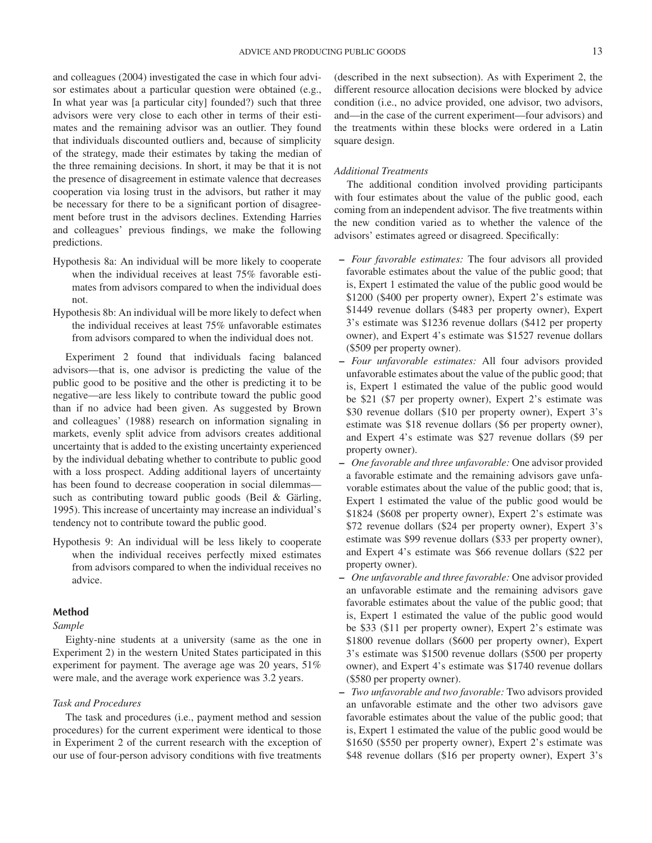and colleagues (2004) investigated the case in which four advisor estimates about a particular question were obtained (e.g., In what year was [a particular city] founded?) such that three advisors were very close to each other in terms of their estimates and the remaining advisor was an outlier. They found that individuals discounted outliers and, because of simplicity of the strategy, made their estimates by taking the median of the three remaining decisions. In short, it may be that it is not the presence of disagreement in estimate valence that decreases cooperation via losing trust in the advisors, but rather it may be necessary for there to be a significant portion of disagreement before trust in the advisors declines. Extending Harries and colleagues' previous findings, we make the following predictions.

- Hypothesis 8a: An individual will be more likely to cooperate when the individual receives at least 75% favorable estimates from advisors compared to when the individual does not.
- Hypothesis 8b: An individual will be more likely to defect when the individual receives at least 75% unfavorable estimates from advisors compared to when the individual does not.

Experiment 2 found that individuals facing balanced advisors—that is, one advisor is predicting the value of the public good to be positive and the other is predicting it to be negative—are less likely to contribute toward the public good than if no advice had been given. As suggested by Brown and colleagues' (1988) research on information signaling in markets, evenly split advice from advisors creates additional uncertainty that is added to the existing uncertainty experienced by the individual debating whether to contribute to public good with a loss prospect. Adding additional layers of uncertainty has been found to decrease cooperation in social dilemmas such as contributing toward public goods (Beil & Gärling, 1995). This increase of uncertainty may increase an individual's tendency not to contribute toward the public good.

Hypothesis 9: An individual will be less likely to cooperate when the individual receives perfectly mixed estimates from advisors compared to when the individual receives no advice.

#### **Method**

## *Sample*

Eighty-nine students at a university (same as the one in Experiment 2) in the western United States participated in this experiment for payment. The average age was 20 years, 51% were male, and the average work experience was 3.2 years.

#### *Task and Procedures*

The task and procedures (i.e., payment method and session procedures) for the current experiment were identical to those in Experiment 2 of the current research with the exception of our use of four-person advisory conditions with five treatments

(described in the next subsection). As with Experiment 2, the different resource allocation decisions were blocked by advice condition (i.e., no advice provided, one advisor, two advisors, and—in the case of the current experiment—four advisors) and the treatments within these blocks were ordered in a Latin square design.

#### *Additional Treatments*

The additional condition involved providing participants with four estimates about the value of the public good, each coming from an independent advisor. The five treatments within the new condition varied as to whether the valence of the advisors' estimates agreed or disagreed. Specifically:

- **–** *Four favorable estimates:* The four advisors all provided favorable estimates about the value of the public good; that is, Expert 1 estimated the value of the public good would be \$1200 (\$400 per property owner), Expert 2's estimate was \$1449 revenue dollars (\$483 per property owner), Expert 3's estimate was \$1236 revenue dollars (\$412 per property owner), and Expert 4's estimate was \$1527 revenue dollars (\$509 per property owner).
- **–** *Four unfavorable estimates:* All four advisors provided unfavorable estimates about the value of the public good; that is, Expert 1 estimated the value of the public good would be \$21 (\$7 per property owner), Expert 2's estimate was \$30 revenue dollars (\$10 per property owner), Expert 3's estimate was \$18 revenue dollars (\$6 per property owner), and Expert 4's estimate was \$27 revenue dollars (\$9 per property owner).
- **–** *One favorable and three unfavorable:* One advisor provided a favorable estimate and the remaining advisors gave unfavorable estimates about the value of the public good; that is, Expert 1 estimated the value of the public good would be \$1824 (\$608 per property owner), Expert 2's estimate was \$72 revenue dollars (\$24 per property owner), Expert 3's estimate was \$99 revenue dollars (\$33 per property owner), and Expert 4's estimate was \$66 revenue dollars (\$22 per property owner).
- **–** *One unfavorable and three favorable:* One advisor provided an unfavorable estimate and the remaining advisors gave favorable estimates about the value of the public good; that is, Expert 1 estimated the value of the public good would be \$33 (\$11 per property owner), Expert 2's estimate was \$1800 revenue dollars (\$600 per property owner), Expert 3's estimate was \$1500 revenue dollars (\$500 per property owner), and Expert 4's estimate was \$1740 revenue dollars (\$580 per property owner).
- **–** *Two unfavorable and two favorable:* Two advisors provided an unfavorable estimate and the other two advisors gave favorable estimates about the value of the public good; that is, Expert 1 estimated the value of the public good would be \$1650 (\$550 per property owner), Expert 2's estimate was \$48 revenue dollars (\$16 per property owner), Expert 3's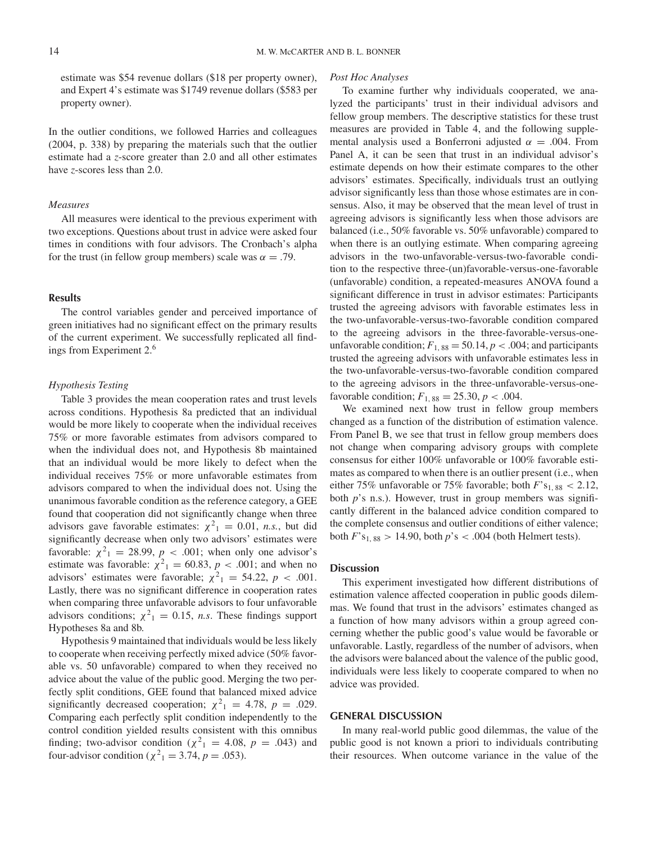estimate was \$54 revenue dollars (\$18 per property owner), and Expert 4's estimate was \$1749 revenue dollars (\$583 per property owner).

In the outlier conditions, we followed Harries and colleagues (2004, p. 338) by preparing the materials such that the outlier estimate had a *z*-score greater than 2.0 and all other estimates have *z*-scores less than 2.0.

#### *Measures*

All measures were identical to the previous experiment with two exceptions. Questions about trust in advice were asked four times in conditions with four advisors. The Cronbach's alpha for the trust (in fellow group members) scale was  $\alpha = .79$ .

## **Results**

The control variables gender and perceived importance of green initiatives had no significant effect on the primary results of the current experiment. We successfully replicated all findings from Experiment 2.<sup>6</sup>

#### *Hypothesis Testing*

Table 3 provides the mean cooperation rates and trust levels across conditions. Hypothesis 8a predicted that an individual would be more likely to cooperate when the individual receives 75% or more favorable estimates from advisors compared to when the individual does not, and Hypothesis 8b maintained that an individual would be more likely to defect when the individual receives 75% or more unfavorable estimates from advisors compared to when the individual does not. Using the unanimous favorable condition as the reference category, a GEE found that cooperation did not significantly change when three advisors gave favorable estimates:  $\chi^2_1 = 0.01$ , *n.s.*, but did significantly decrease when only two advisors' estimates were favorable:  $\chi^2_1 = 28.99$ ,  $p \leq .001$ ; when only one advisor's estimate was favorable:  $\chi^2_1 = 60.83$ ,  $p \leq .001$ ; and when no advisors' estimates were favorable;  $\chi^2_1 = 54.22$ ,  $p < .001$ . Lastly, there was no significant difference in cooperation rates when comparing three unfavorable advisors to four unfavorable advisors conditions;  $\chi^2_1 = 0.15$ , *n.s.* These findings support Hypotheses 8a and 8b.

Hypothesis 9 maintained that individuals would be less likely to cooperate when receiving perfectly mixed advice (50% favorable vs. 50 unfavorable) compared to when they received no advice about the value of the public good. Merging the two perfectly split conditions, GEE found that balanced mixed advice significantly decreased cooperation;  $\chi^2$ <sub>1</sub> = 4.78, *p* = .029. Comparing each perfectly split condition independently to the control condition yielded results consistent with this omnibus finding; two-advisor condition ( $\chi^2$ <sub>1</sub> = 4.08, *p* = .043) and four-advisor condition ( $\chi^2$ <sub>1</sub> = 3.74, *p* = .053).

#### *Post Hoc Analyses*

To examine further why individuals cooperated, we analyzed the participants' trust in their individual advisors and fellow group members. The descriptive statistics for these trust measures are provided in Table 4, and the following supplemental analysis used a Bonferroni adjusted  $\alpha = .004$ . From Panel A, it can be seen that trust in an individual advisor's estimate depends on how their estimate compares to the other advisors' estimates. Specifically, individuals trust an outlying advisor significantly less than those whose estimates are in consensus. Also, it may be observed that the mean level of trust in agreeing advisors is significantly less when those advisors are balanced (i.e., 50% favorable vs. 50% unfavorable) compared to when there is an outlying estimate. When comparing agreeing advisors in the two-unfavorable-versus-two-favorable condition to the respective three-(un)favorable-versus-one-favorable (unfavorable) condition, a repeated-measures ANOVA found a significant difference in trust in advisor estimates: Participants trusted the agreeing advisors with favorable estimates less in the two-unfavorable-versus-two-favorable condition compared to the agreeing advisors in the three-favorable-versus-oneunfavorable condition;  $F_{1, 88} = 50.14, p < .004$ ; and participants trusted the agreeing advisors with unfavorable estimates less in the two-unfavorable-versus-two-favorable condition compared to the agreeing advisors in the three-unfavorable-versus-onefavorable condition;  $F_{1, 88} = 25.30, p < .004$ .

We examined next how trust in fellow group members changed as a function of the distribution of estimation valence. From Panel B, we see that trust in fellow group members does not change when comparing advisory groups with complete consensus for either 100% unfavorable or 100% favorable estimates as compared to when there is an outlier present (i.e., when either 75% unfavorable or 75% favorable; both  $F$ 's<sub>1,88</sub> < 2.12, both *p*'s n.s.). However, trust in group members was significantly different in the balanced advice condition compared to the complete consensus and outlier conditions of either valence; both  $F$ 's<sub>1, 88</sub> > 14.90, both  $p$ 's < .004 (both Helmert tests).

## **Discussion**

This experiment investigated how different distributions of estimation valence affected cooperation in public goods dilemmas. We found that trust in the advisors' estimates changed as a function of how many advisors within a group agreed concerning whether the public good's value would be favorable or unfavorable. Lastly, regardless of the number of advisors, when the advisors were balanced about the valence of the public good, individuals were less likely to cooperate compared to when no advice was provided.

#### **GENERAL DISCUSSION**

In many real-world public good dilemmas, the value of the public good is not known a priori to individuals contributing their resources. When outcome variance in the value of the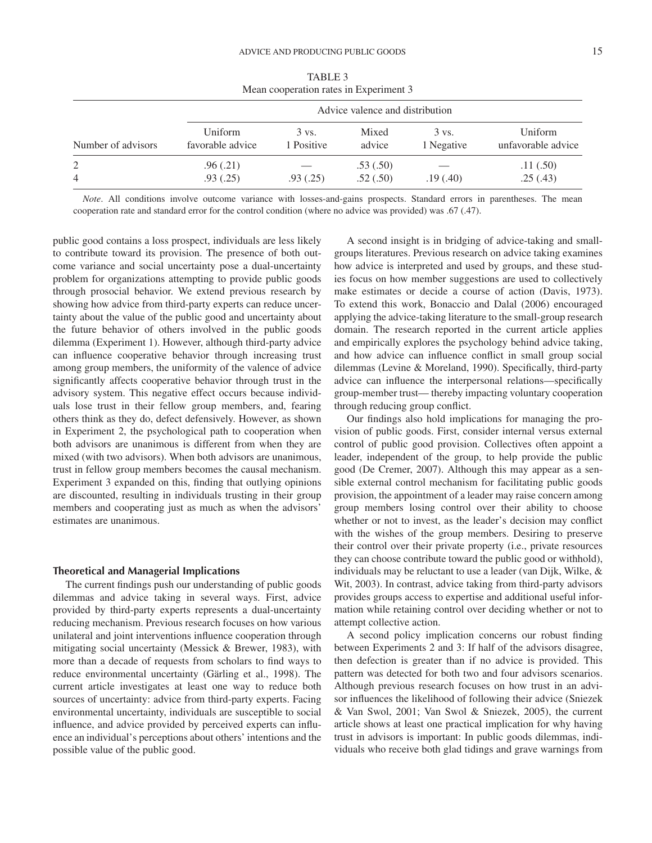|                    |                             |                     | Advice valence and distribution |                     |                               |
|--------------------|-----------------------------|---------------------|---------------------------------|---------------------|-------------------------------|
| Number of advisors | Uniform<br>favorable advice | 3 vs.<br>1 Positive | Mixed<br>advice                 | 3 vs.<br>1 Negative | Uniform<br>unfavorable advice |
| 2<br>4             | .96(.21)<br>.93(.25)        | .93(.25)            | .53(.50)<br>.52(.50)            | .19(.40)            | .11(.50)<br>.25(.43)          |

TABLE 3 Mean cooperation rates in Experiment 3

*Note*. All conditions involve outcome variance with losses-and-gains prospects. Standard errors in parentheses. The mean cooperation rate and standard error for the control condition (where no advice was provided) was .67 (.47).

public good contains a loss prospect, individuals are less likely to contribute toward its provision. The presence of both outcome variance and social uncertainty pose a dual-uncertainty problem for organizations attempting to provide public goods through prosocial behavior. We extend previous research by showing how advice from third-party experts can reduce uncertainty about the value of the public good and uncertainty about the future behavior of others involved in the public goods dilemma (Experiment 1). However, although third-party advice can influence cooperative behavior through increasing trust among group members, the uniformity of the valence of advice significantly affects cooperative behavior through trust in the advisory system. This negative effect occurs because individuals lose trust in their fellow group members, and, fearing others think as they do, defect defensively. However, as shown in Experiment 2, the psychological path to cooperation when both advisors are unanimous is different from when they are mixed (with two advisors). When both advisors are unanimous, trust in fellow group members becomes the causal mechanism. Experiment 3 expanded on this, finding that outlying opinions are discounted, resulting in individuals trusting in their group members and cooperating just as much as when the advisors' estimates are unanimous.

#### **Theoretical and Managerial Implications**

The current findings push our understanding of public goods dilemmas and advice taking in several ways. First, advice provided by third-party experts represents a dual-uncertainty reducing mechanism. Previous research focuses on how various unilateral and joint interventions influence cooperation through mitigating social uncertainty (Messick & Brewer, 1983), with more than a decade of requests from scholars to find ways to reduce environmental uncertainty (Gärling et al., 1998). The current article investigates at least one way to reduce both sources of uncertainty: advice from third-party experts. Facing environmental uncertainty, individuals are susceptible to social influence, and advice provided by perceived experts can influence an individual's perceptions about others' intentions and the possible value of the public good.

A second insight is in bridging of advice-taking and smallgroups literatures. Previous research on advice taking examines how advice is interpreted and used by groups, and these studies focus on how member suggestions are used to collectively make estimates or decide a course of action (Davis, 1973). To extend this work, Bonaccio and Dalal (2006) encouraged applying the advice-taking literature to the small-group research domain. The research reported in the current article applies and empirically explores the psychology behind advice taking, and how advice can influence conflict in small group social dilemmas (Levine & Moreland, 1990). Specifically, third-party advice can influence the interpersonal relations—specifically group-member trust— thereby impacting voluntary cooperation through reducing group conflict.

Our findings also hold implications for managing the provision of public goods. First, consider internal versus external control of public good provision. Collectives often appoint a leader, independent of the group, to help provide the public good (De Cremer, 2007). Although this may appear as a sensible external control mechanism for facilitating public goods provision, the appointment of a leader may raise concern among group members losing control over their ability to choose whether or not to invest, as the leader's decision may conflict with the wishes of the group members. Desiring to preserve their control over their private property (i.e., private resources they can choose contribute toward the public good or withhold), individuals may be reluctant to use a leader (van Dijk, Wilke, & Wit, 2003). In contrast, advice taking from third-party advisors provides groups access to expertise and additional useful information while retaining control over deciding whether or not to attempt collective action.

A second policy implication concerns our robust finding between Experiments 2 and 3: If half of the advisors disagree, then defection is greater than if no advice is provided. This pattern was detected for both two and four advisors scenarios. Although previous research focuses on how trust in an advisor influences the likelihood of following their advice (Sniezek & Van Swol, 2001; Van Swol & Sniezek, 2005), the current article shows at least one practical implication for why having trust in advisors is important: In public goods dilemmas, individuals who receive both glad tidings and grave warnings from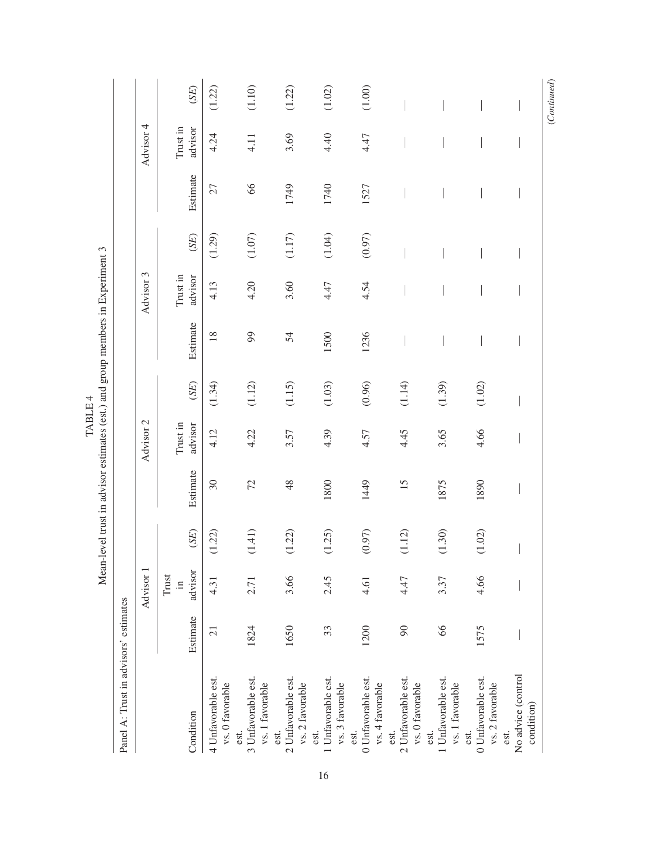| Panel A: Trust in advisors' estimates         |                |                              |        |          |                      |        |          |                     |          |          |                     |             |
|-----------------------------------------------|----------------|------------------------------|--------|----------|----------------------|--------|----------|---------------------|----------|----------|---------------------|-------------|
|                                               |                | Advisor 1                    |        |          | Advisor <sub>2</sub> |        |          | Advisor 3           |          |          | Advisor 4           |             |
| Condition                                     | Estimate       | advisor<br>Trust<br>$\equiv$ | (SE)   | Estimate | advisor<br>Trust in  | (SE)   | Estimate | Trust in<br>advisor | (SE)     | Estimate | advisor<br>Trust in | (SE)        |
| 4 Unfavorable est.<br>vs. 0 favorable<br>est. | $\overline{c}$ | 4.31                         | 1.22   | $30\,$   | 4.12                 | (1.34) | 18       | 4.13                | (1.29)   | 27       | 4.24                | (1.22)      |
| 3 Unfavorable est.<br>vs. 1 favorable<br>est. | 1824           | 2.71                         | 1.41)  | 72       | 4.22                 | (1.12) | 99       | 4.20                | (1.07)   | 66       | 4.11                | $(1.10)$    |
| 2 Unfavorable est.<br>vs. 2 favorable<br>est. | 1650           | 3.66                         | 1.22)  | 48       | 3.57                 | (1.15) | 54       | 3.60                | $(1.17)$ | 1749     | 3.69                | (1.22)      |
| 1 Unfavorable est.<br>vs. 3 favorable<br>est. | 33             | 2.45                         | 1.25   | 1800     | 4.39                 | (1.03) | 1500     | 4.47                | (1.04)   | 1740     | 4.40                | $(1.02)$    |
| 0 Unfavorable est.<br>vs. 4 favorable<br>est. | 1200           | 4.61                         | (0.97) | 1449     | 4.57                 | (0.96) | 1236     | 4.54                | (0.97)   | 1527     | 4.47                | $(1.00)$    |
| 2 Unfavorable est.<br>vs. 0 favorable         | $90\,$         | 4.47                         | 1.12   | 15       | 4.45                 | (1.14) |          |                     |          |          |                     |             |
| 1 Unfavorable est.<br>vs. 1 favorable<br>est. | 66             | 3.37                         | 1.30)  | 1875     | 3.65                 | (1.39) |          |                     |          |          |                     |             |
| 0 Unfavorable est.<br>vs. 2 favorable<br>est. | 1575           | 4.66                         | 1.02   | 1890     | 4.66                 | (1.02) |          |                     |          |          |                     |             |
| No advice (control<br>condition)<br>est.      |                |                              |        |          |                      |        |          |                     |          |          |                     |             |
|                                               |                |                              |        |          |                      |        |          |                     |          |          |                     | (Continued) |

TABLE 4 TABLE 4

16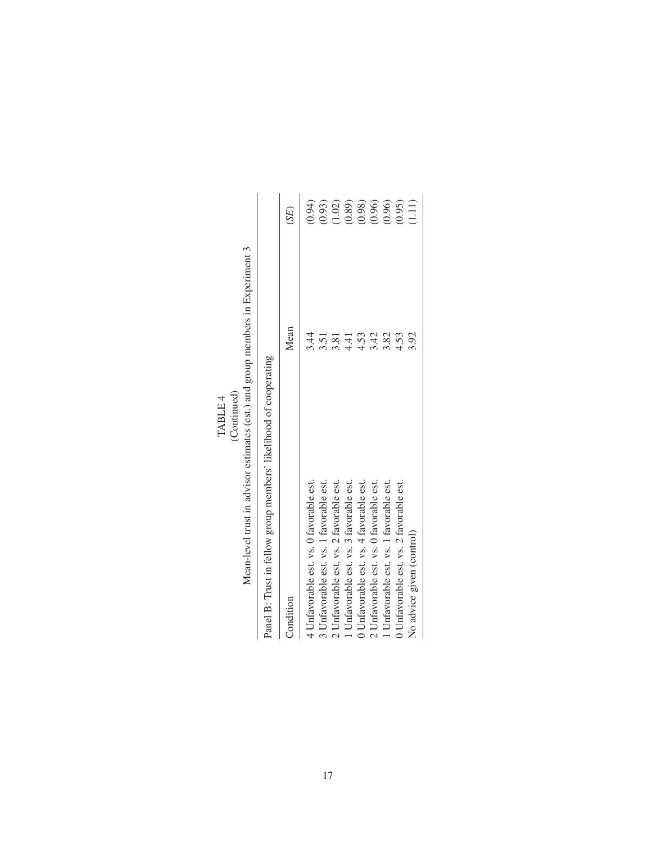| ulahaad at anonomine<br>::::           |
|----------------------------------------|
| conal B. Trust in fallow group members |
|                                        |
| Panel B: Trust i                       |
|                                        |

| Panel B: Trust in fellow group members' likelihood of cooperating |      |        |
|-------------------------------------------------------------------|------|--------|
| Condition                                                         | Mean | (SE)   |
| 4 Unfavorable est. vs. 0 favorable est.                           | 3.44 | (0.94) |
| 3 Unfavorable est. vs. 1 favorable est.                           | 3.51 | (0.93) |
| 2 Unfavorable est. vs. 2 favorable est.                           | 3.81 | (1.02) |
| 1 Unfavorable est. vs. 3 favorable est.                           | 4.41 | (0.89) |
| 0 Unfavorable est. vs. 4 favorable est.                           | 4.53 | (0.98) |
| 2 Unfavorable est. vs. 0 favorable est.                           | 3.42 | (0.96) |
| 1 Unfavorable est. vs. 1 favorable est.                           | 3.82 | (0.96) |
| 0 Unfavorable est. vs. 2 favorable est.                           | 4.53 | (0.95) |
| No advice given (control)                                         | 3.92 | (1.11) |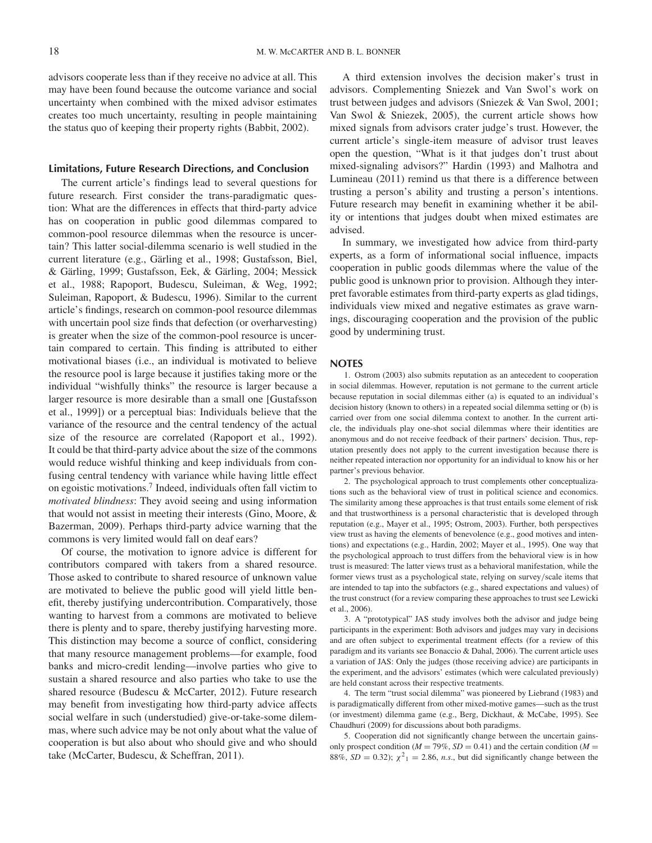advisors cooperate less than if they receive no advice at all. This may have been found because the outcome variance and social uncertainty when combined with the mixed advisor estimates creates too much uncertainty, resulting in people maintaining the status quo of keeping their property rights (Babbit, 2002).

#### **Limitations, Future Research Directions, and Conclusion**

The current article's findings lead to several questions for future research. First consider the trans-paradigmatic question: What are the differences in effects that third-party advice has on cooperation in public good dilemmas compared to common-pool resource dilemmas when the resource is uncertain? This latter social-dilemma scenario is well studied in the current literature (e.g., Gärling et al., 1998; Gustafsson, Biel, & Gärling, 1999; Gustafsson, Eek, & Gärling, 2004; Messick et al., 1988; Rapoport, Budescu, Suleiman, & Weg, 1992; Suleiman, Rapoport, & Budescu, 1996). Similar to the current article's findings, research on common-pool resource dilemmas with uncertain pool size finds that defection (or overharvesting) is greater when the size of the common-pool resource is uncertain compared to certain. This finding is attributed to either motivational biases (i.e., an individual is motivated to believe the resource pool is large because it justifies taking more or the individual "wishfully thinks" the resource is larger because a larger resource is more desirable than a small one [Gustafsson et al., 1999]) or a perceptual bias: Individuals believe that the variance of the resource and the central tendency of the actual size of the resource are correlated (Rapoport et al., 1992). It could be that third-party advice about the size of the commons would reduce wishful thinking and keep individuals from confusing central tendency with variance while having little effect on egoistic motivations.7 Indeed, individuals often fall victim to *motivated blindness*: They avoid seeing and using information that would not assist in meeting their interests (Gino, Moore, & Bazerman, 2009). Perhaps third-party advice warning that the commons is very limited would fall on deaf ears?

Of course, the motivation to ignore advice is different for contributors compared with takers from a shared resource. Those asked to contribute to shared resource of unknown value are motivated to believe the public good will yield little benefit, thereby justifying undercontribution. Comparatively, those wanting to harvest from a commons are motivated to believe there is plenty and to spare, thereby justifying harvesting more. This distinction may become a source of conflict, considering that many resource management problems—for example, food banks and micro-credit lending—involve parties who give to sustain a shared resource and also parties who take to use the shared resource (Budescu & McCarter, 2012). Future research may benefit from investigating how third-party advice affects social welfare in such (understudied) give-or-take-some dilemmas, where such advice may be not only about what the value of cooperation is but also about who should give and who should take (McCarter, Budescu, & Scheffran, 2011).

A third extension involves the decision maker's trust in advisors. Complementing Sniezek and Van Swol's work on trust between judges and advisors (Sniezek & Van Swol, 2001; Van Swol & Sniezek, 2005), the current article shows how mixed signals from advisors crater judge's trust. However, the current article's single-item measure of advisor trust leaves open the question, "What is it that judges don't trust about mixed-signaling advisors?" Hardin (1993) and Malhotra and Lumineau (2011) remind us that there is a difference between trusting a person's ability and trusting a person's intentions. Future research may benefit in examining whether it be ability or intentions that judges doubt when mixed estimates are advised.

In summary, we investigated how advice from third-party experts, as a form of informational social influence, impacts cooperation in public goods dilemmas where the value of the public good is unknown prior to provision. Although they interpret favorable estimates from third-party experts as glad tidings, individuals view mixed and negative estimates as grave warnings, discouraging cooperation and the provision of the public good by undermining trust.

#### **NOTES**

1. Ostrom (2003) also submits reputation as an antecedent to cooperation in social dilemmas. However, reputation is not germane to the current article because reputation in social dilemmas either (a) is equated to an individual's decision history (known to others) in a repeated social dilemma setting or (b) is carried over from one social dilemma context to another. In the current article, the individuals play one-shot social dilemmas where their identities are anonymous and do not receive feedback of their partners' decision. Thus, reputation presently does not apply to the current investigation because there is neither repeated interaction nor opportunity for an individual to know his or her partner's previous behavior.

2. The psychological approach to trust complements other conceptualizations such as the behavioral view of trust in political science and economics. The similarity among these approaches is that trust entails some element of risk and that trustworthiness is a personal characteristic that is developed through reputation (e.g., Mayer et al., 1995; Ostrom, 2003). Further, both perspectives view trust as having the elements of benevolence (e.g., good motives and intentions) and expectations (e.g., Hardin, 2002; Mayer et al., 1995). One way that the psychological approach to trust differs from the behavioral view is in how trust is measured: The latter views trust as a behavioral manifestation, while the former views trust as a psychological state, relying on survey/scale items that are intended to tap into the subfactors (e.g., shared expectations and values) of the trust construct (for a review comparing these approaches to trust see Lewicki et al., 2006).

3. A "prototypical" JAS study involves both the advisor and judge being participants in the experiment: Both advisors and judges may vary in decisions and are often subject to experimental treatment effects (for a review of this paradigm and its variants see Bonaccio & Dahal, 2006). The current article uses a variation of JAS: Only the judges (those receiving advice) are participants in the experiment, and the advisors' estimates (which were calculated previously) are held constant across their respective treatments.

4. The term "trust social dilemma" was pioneered by Liebrand (1983) and is paradigmatically different from other mixed-motive games—such as the trust (or investment) dilemma game (e.g., Berg, Dickhaut, & McCabe, 1995). See Chaudhuri (2009) for discussions about both paradigms.

5. Cooperation did not significantly change between the uncertain gainsonly prospect condition ( $M = 79\%$ ,  $SD = 0.41$ ) and the certain condition ( $M =$  $88\%, SD = 0.32$ ;  $\chi^2_1 = 2.86$ , *n.s.*, but did significantly change between the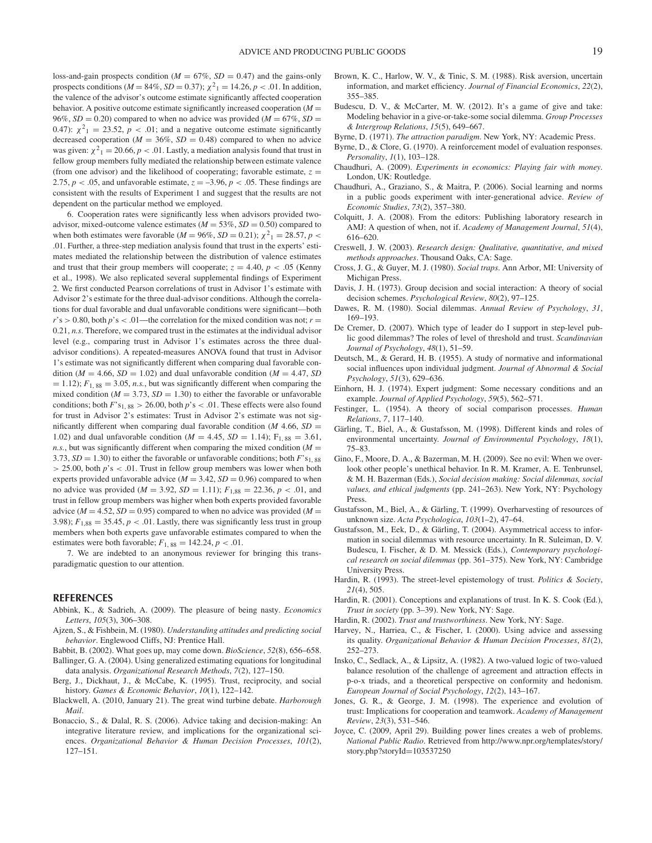loss-and-gain prospects condition ( $M = 67\%$ ,  $SD = 0.47$ ) and the gains-only prospects conditions ( $M = 84\%$ ,  $SD = 0.37$ );  $\chi^2_1 = 14.26$ ,  $p < .01$ . In addition, the valence of the advisor's outcome estimate significantly affected cooperation behavior. A positive outcome estimate significantly increased cooperation (*M* = 96%,  $SD = 0.20$ ) compared to when no advice was provided ( $M = 67\%$ ,  $SD =$ 0.47):  $\chi^2_1 = 23.52$ ,  $p < .01$ ; and a negative outcome estimate significantly decreased cooperation ( $M = 36\%$ ,  $SD = 0.48$ ) compared to when no advice was given:  $\chi^2$ <sub>1</sub> = 20.66, *p* < .01. Lastly, a mediation analysis found that trust in fellow group members fully mediated the relationship between estimate valence (from one advisor) and the likelihood of cooperating; favorable estimate,  $z =$ 2.75,  $p < .05$ , and unfavorable estimate,  $z = -3.96$ ,  $p < .05$ . These findings are consistent with the results of Experiment 1 and suggest that the results are not dependent on the particular method we employed.

6. Cooperation rates were significantly less when advisors provided twoadvisor, mixed-outcome valence estimates ( $M = 53\%$ ,  $SD = 0.50$ ) compared to when both estimates were favorable ( $M = 96\%$ ,  $SD = 0.21$ );  $\chi^2_1 = 28.57$ ,  $p <$ .01. Further, a three-step mediation analysis found that trust in the experts' estimates mediated the relationship between the distribution of valence estimates and trust that their group members will cooperate;  $z = 4.40$ ,  $p < .05$  (Kenny et al., 1998). We also replicated several supplemental findings of Experiment 2. We first conducted Pearson correlations of trust in Advisor 1's estimate with Advisor 2's estimate for the three dual-advisor conditions. Although the correlations for dual favorable and dual unfavorable conditions were significant—both  $r$ 's  $> 0.80$ , both  $p$ 's  $< .01$ —the correlation for the mixed condition was not;  $r =$ 0.21, *n.s*. Therefore, we compared trust in the estimates at the individual advisor level (e.g., comparing trust in Advisor 1's estimates across the three dualadvisor conditions). A repeated-measures ANOVA found that trust in Advisor 1's estimate was not significantly different when comparing dual favorable condition ( $M = 4.66$ ,  $SD = 1.02$ ) and dual unfavorable condition ( $M = 4.47$ , *SD*  $= 1.12$ ;  $F_{1, 88} = 3.05$ , *n.s.*, but was significantly different when comparing the mixed condition ( $M = 3.73$ ,  $SD = 1.30$ ) to either the favorable or unfavorable conditions; both  $F$ 's<sub>1, 88</sub> > 26.00, both  $p$ 's < .01. These effects were also found for trust in Advisor 2's estimates: Trust in Advisor 2's estimate was not significantly different when comparing dual favorable condition ( $M$  4.66,  $SD =$ 1.02) and dual unfavorable condition ( $M = 4.45$ ,  $SD = 1.14$ );  $F_{1, 88} = 3.61$ , *n.s.*, but was significantly different when comparing the mixed condition ( $M =$ 3.73,  $SD = 1.30$ ) to either the favorable or unfavorable conditions; both  $F$ 's<sub>1,88</sub> > 25.00, both *p*'s < .01. Trust in fellow group members was lower when both experts provided unfavorable advice ( $M = 3.42$ ,  $SD = 0.96$ ) compared to when no advice was provided ( $M = 3.92$ ,  $SD = 1.11$ );  $F_{1,88} = 22.36$ ,  $p < .01$ , and trust in fellow group members was higher when both experts provided favorable advice ( $M = 4.52$ ,  $SD = 0.95$ ) compared to when no advice was provided ( $M =$ 3.98);  $F_{1,88} = 35.45$ ,  $p < .01$ . Lastly, there was significantly less trust in group members when both experts gave unfavorable estimates compared to when the estimates were both favorable;  $F_{1, 88} = 142.24, p < .01$ .

7. We are indebted to an anonymous reviewer for bringing this transparadigmatic question to our attention.

#### **REFERENCES**

- Abbink, K., & Sadrieh, A. (2009). The pleasure of being nasty. *Economics Letters*, *105*(3), 306–308.
- Ajzen, S., & Fishbein, M. (1980). *Understanding attitudes and predicting social behavior*. Englewood Cliffs, NJ: Prentice Hall.
- Babbit, B. (2002). What goes up, may come down. *BioScience*, *52*(8), 656–658.
- Ballinger, G. A. (2004). Using generalized estimating equations for longitudinal data analysis. *Organizational Research Methods*, *7*(2), 127–150.
- Berg, J., Dickhaut, J., & McCabe, K. (1995). Trust, reciprocity, and social history. *Games & Economic Behavior*, *10*(1), 122–142.
- Blackwell, A. (2010, January 21). The great wind turbine debate. *Harborough Mail*.
- Bonaccio, S., & Dalal, R. S. (2006). Advice taking and decision-making: An integrative literature review, and implications for the organizational sciences. *Organizational Behavior & Human Decision Processes*, *101*(2), 127–151.
- Brown, K. C., Harlow, W. V., & Tinic, S. M. (1988). Risk aversion, uncertain information, and market efficiency. *Journal of Financial Economics*, *22*(2), 355–385.
- Budescu, D. V., & McCarter, M. W. (2012). It's a game of give and take: Modeling behavior in a give-or-take-some social dilemma. *Group Processes & Intergroup Relations*, *15*(5), 649–667.
- Byrne, D. (1971). *The attraction paradigm*. New York, NY: Academic Press.
- Byrne, D., & Clore, G. (1970). A reinforcement model of evaluation responses. *Personality*, *1*(1), 103–128.
- Chaudhuri, A. (2009). *Experiments in economics: Playing fair with money*. London, UK: Routledge.
- Chaudhuri, A., Graziano, S., & Maitra, P. (2006). Social learning and norms in a public goods experiment with inter-generational advice. *Review of Economic Studies*, *73*(2), 357–380.
- Colquitt, J. A. (2008). From the editors: Publishing laboratory research in AMJ: A question of when, not if. *Academy of Management Journal*, *51*(4), 616–620.
- Creswell, J. W. (2003). *Research design: Qualitative, quantitative, and mixed methods approaches*. Thousand Oaks, CA: Sage.
- Cross, J. G., & Guyer, M. J. (1980). *Social traps*. Ann Arbor, MI: University of Michigan Press.
- Davis, J. H. (1973). Group decision and social interaction: A theory of social decision schemes. *Psychological Review*, *80*(2), 97–125.
- Dawes, R. M. (1980). Social dilemmas. *Annual Review of Psychology*, *31*, 169–193.
- De Cremer, D. (2007). Which type of leader do I support in step-level public good dilemmas? The roles of level of threshold and trust. *Scandinavian Journal of Psychology*, *48*(1), 51–59.
- Deutsch, M., & Gerard, H. B. (1955). A study of normative and informational social influences upon individual judgment. *Journal of Abnormal & Social Psychology*, *51*(3), 629–636.
- Einhorn, H. J. (1974). Expert judgment: Some necessary conditions and an example. *Journal of Applied Psychology*, *59*(5), 562–571.
- Festinger, L. (1954). A theory of social comparison processes. *Human Relations*, *7*, 117–140.
- Gärling, T., Biel, A., & Gustafsson, M. (1998). Different kinds and roles of environmental uncertainty. *Journal of Environmental Psychology*, *18*(1), 75–83.
- Gino, F., Moore, D. A., & Bazerman, M. H. (2009). See no evil: When we overlook other people's unethical behavior. In R. M. Kramer, A. E. Tenbrunsel, & M. H. Bazerman (Eds.), *Social decision making: Social dilemmas, social values, and ethical judgments* (pp. 241–263). New York, NY: Psychology Press.
- Gustafsson, M., Biel, A., & Gärling, T. (1999). Overharvesting of resources of unknown size. *Acta Psychologica*, *103*(1–2), 47–64.
- Gustafsson, M., Eek, D., & Gärling, T. (2004). Asymmetrical access to information in social dilemmas with resource uncertainty. In R. Suleiman, D. V. Budescu, I. Fischer, & D. M. Messick (Eds.), *Contemporary psychological research on social dilemmas* (pp. 361–375). New York, NY: Cambridge University Press.
- Hardin, R. (1993). The street-level epistemology of trust. *Politics & Society*, *21*(4), 505.
- Hardin, R. (2001). Conceptions and explanations of trust. In K. S. Cook (Ed.), *Trust in society* (pp. 3–39). New York, NY: Sage.
- Hardin, R. (2002). *Trust and trustworthiness*. New York, NY: Sage.
- Harvey, N., Harriea, C., & Fischer, I. (2000). Using advice and assessing its quality. *Organizational Behavior & Human Decision Processes*, *81*(2), 252–273.
- Insko, C., Sedlack, A., & Lipsitz, A. (1982). A two-valued logic of two-valued balance resolution of the challenge of agreement and attraction effects in p-o-x triads, and a theoretical perspective on conformity and hedonism. *European Journal of Social Psychology*, *12*(2), 143–167.
- Jones, G. R., & George, J. M. (1998). The experience and evolution of trust: Implications for cooperation and teamwork. *Academy of Management Review*, *23*(3), 531–546.
- Joyce, C. (2009, April 29). Building power lines creates a web of problems. *National Public Radio*. Retrieved from http://www.npr.org/templates/story/ story.php?storyId=103537250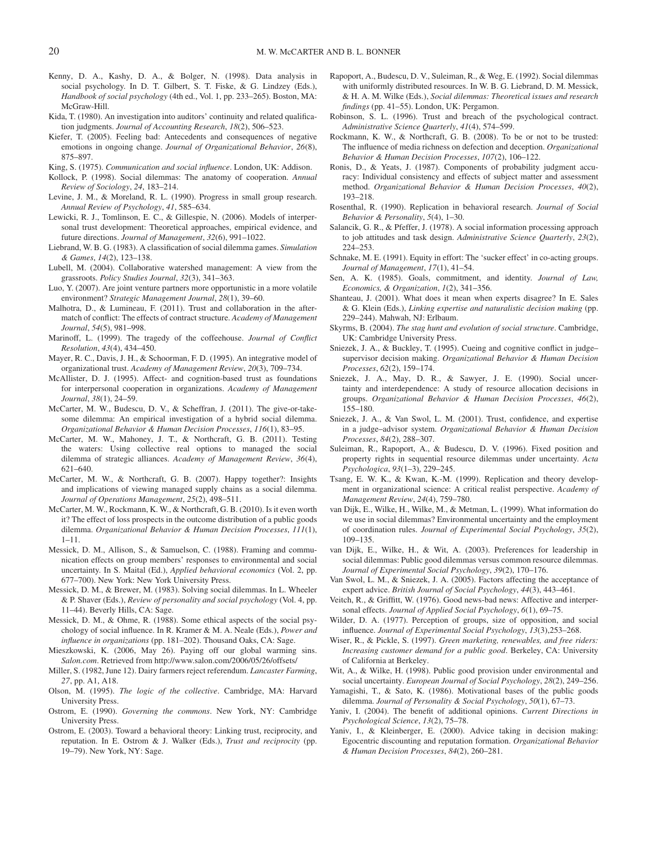- Kenny, D. A., Kashy, D. A., & Bolger, N. (1998). Data analysis in social psychology. In D. T. Gilbert, S. T. Fiske, & G. Lindzey (Eds.), *Handbook of social psychology* (4th ed., Vol. 1, pp. 233–265). Boston, MA: McGraw-Hill.
- Kida, T. (1980). An investigation into auditors' continuity and related qualification judgments. *Journal of Accounting Research*, *18*(2), 506–523.
- Kiefer, T. (2005). Feeling bad: Antecedents and consequences of negative emotions in ongoing change. *Journal of Organizational Behavior*, *26*(8), 875–897.
- King, S. (1975). *Communication and social influence*. London, UK: Addison.
- Kollock, P. (1998). Social dilemmas: The anatomy of cooperation. *Annual Review of Sociology*, *24*, 183–214.
- Levine, J. M., & Moreland, R. L. (1990). Progress in small group research. *Annual Review of Psychology*, *41*, 585–634.
- Lewicki, R. J., Tomlinson, E. C., & Gillespie, N. (2006). Models of interpersonal trust development: Theoretical approaches, empirical evidence, and future directions. *Journal of Management*, *32*(6), 991–1022.
- Liebrand, W. B. G. (1983). A classification of social dilemma games. *Simulation & Games*, *14*(2), 123–138.
- Lubell, M. (2004). Collaborative watershed management: A view from the grassroots. *Policy Studies Journal*, *32*(3), 341–363.
- Luo, Y. (2007). Are joint venture partners more opportunistic in a more volatile environment? *Strategic Management Journal*, *28*(1), 39–60.
- Malhotra, D., & Lumineau, F. (2011). Trust and collaboration in the aftermatch of conflict: The effects of contract structure. *Academy of Management Journal*, *54*(5), 981–998.
- Marinoff, L. (1999). The tragedy of the coffeehouse. *Journal of Conflict Resolution*, *43*(4), 434–450.
- Mayer, R. C., Davis, J. H., & Schoorman, F. D. (1995). An integrative model of organizational trust. *Academy of Management Review*, *20*(3), 709–734.
- McAllister, D. J. (1995). Affect- and cognition-based trust as foundations for interpersonal cooperation in organizations. *Academy of Management Journal*, *38*(1), 24–59.
- McCarter, M. W., Budescu, D. V., & Scheffran, J. (2011). The give-or-takesome dilemma: An empirical investigation of a hybrid social dilemma. *Organizational Behavior & Human Decision Processes*, *116*(1), 83–95.
- McCarter, M. W., Mahoney, J. T., & Northcraft, G. B. (2011). Testing the waters: Using collective real options to managed the social dilemma of strategic alliances. *Academy of Management Review*, *36*(4), 621–640.
- McCarter, M. W., & Northcraft, G. B. (2007). Happy together?: Insights and implications of viewing managed supply chains as a social dilemma. *Journal of Operations Management*, *25*(2), 498–511.
- McCarter, M. W., Rockmann, K. W., & Northcraft, G. B. (2010). Is it even worth it? The effect of loss prospects in the outcome distribution of a public goods dilemma. *Organizational Behavior & Human Decision Processes*, *111*(1), 1–11.
- Messick, D. M., Allison, S., & Samuelson, C. (1988). Framing and communication effects on group members' responses to environmental and social uncertainty. In S. Maital (Ed.), *Applied behavioral economics* (Vol. 2, pp. 677–700). New York: New York University Press.
- Messick, D. M., & Brewer, M. (1983). Solving social dilemmas. In L. Wheeler & P. Shaver (Eds.), *Review of personality and social psychology* (Vol. 4, pp. 11–44). Beverly Hills, CA: Sage.
- Messick, D. M., & Ohme, R. (1988). Some ethical aspects of the social psychology of social influence. In R. Kramer & M. A. Neale (Eds.), *Power and influence in organizations* (pp. 181–202). Thousand Oaks, CA: Sage.
- Mieszkowski, K. (2006, May 26). Paying off our global warming sins. *Salon.com*. Retrieved from http://www.salon.com/2006/05/26/offsets/
- Miller, S. (1982, June 12). Dairy farmers reject referendum. *Lancaster Farming*, *27*, pp. A1, A18.
- Olson, M. (1995). *The logic of the collective*. Cambridge, MA: Harvard University Press.
- Ostrom, E. (1990). *Governing the commons*. New York, NY: Cambridge University Press.
- Ostrom, E. (2003). Toward a behavioral theory: Linking trust, reciprocity, and reputation. In E. Ostrom & J. Walker (Eds.), *Trust and reciprocity* (pp. 19–79). New York, NY: Sage.
- Rapoport, A., Budescu, D. V., Suleiman, R., & Weg, E. (1992). Social dilemmas with uniformly distributed resources. In W. B. G. Liebrand, D. M. Messick, & H. A. M. Wilke (Eds.), *Social dilemmas: Theoretical issues and research findings* (pp. 41–55). London, UK: Pergamon.
- Robinson, S. L. (1996). Trust and breach of the psychological contract. *Administrative Science Quarterly*, *41*(4), 574–599.
- Rockmann, K. W., & Northcraft, G. B. (2008). To be or not to be trusted: The influence of media richness on defection and deception. *Organizational Behavior & Human Decision Processes*, *107*(2), 106–122.
- Ronis, D., & Yeats, J. (1987). Components of probability judgment accuracy: Individual consistency and effects of subject matter and assessment method. *Organizational Behavior & Human Decision Processes*, *40*(2), 193–218.
- Rosenthal, R. (1990). Replication in behavioral research. *Journal of Social Behavior & Personality*, *5*(4), 1–30.
- Salancik, G. R., & Pfeffer, J. (1978). A social information processing approach to job attitudes and task design. *Administrative Science Quarterly*, *23*(2), 224–253.
- Schnake, M. E. (1991). Equity in effort: The 'sucker effect' in co-acting groups. *Journal of Management*, *17*(1), 41–54.
- Sen, A. K. (1985). Goals, commitment, and identity. *Journal of Law, Economics, & Organization*, *1*(2), 341–356.
- Shanteau, J. (2001). What does it mean when experts disagree? In E. Sales & G. Klein (Eds.), *Linking expertise and naturalistic decision making* (pp. 229–244). Mahwah, NJ: Erlbaum.
- Skyrms, B. (2004). *The stag hunt and evolution of social structure*. Cambridge, UK: Cambridge University Press.
- Sniezek, J. A., & Buckley, T. (1995). Cueing and cognitive conflict in judge– supervisor decision making. *Organizational Behavior & Human Decision Processes*, *62*(2), 159–174.
- Sniezek, J. A., May, D. R., & Sawyer, J. E. (1990). Social uncertainty and interdependence: A study of resource allocation decisions in groups. *Organizational Behavior & Human Decision Processes*, *46*(2), 155–180.
- Sniezek, J. A., & Van Swol, L. M. (2001). Trust, confidence, and expertise in a judge–advisor system. *Organizational Behavior & Human Decision Processes*, *84*(2), 288–307.
- Suleiman, R., Rapoport, A., & Budescu, D. V. (1996). Fixed position and property rights in sequential resource dilemmas under uncertainty. *Acta Psychologica*, *93*(1–3), 229–245.
- Tsang, E. W. K., & Kwan, K.-M. (1999). Replication and theory development in organizational science: A critical realist perspective. *Academy of Management Review*, *24*(4), 759–780.
- van Dijk, E., Wilke, H., Wilke, M., & Metman, L. (1999). What information do we use in social dilemmas? Environmental uncertainty and the employment of coordination rules. *Journal of Experimental Social Psychology*, *35*(2), 109–135.
- van Dijk, E., Wilke, H., & Wit, A. (2003). Preferences for leadership in social dilemmas: Public good dilemmas versus common resource dilemmas. *Journal of Experimental Social Psychology*, *39*(2), 170–176.
- Van Swol, L. M., & Sniezek, J. A. (2005). Factors affecting the acceptance of expert advice. *British Journal of Social Psychology*, *44*(3), 443–461.
- Veitch, R., & Griffitt, W. (1976). Good news-bad news: Affective and interpersonal effects. *Journal of Applied Social Psychology*, *6*(1), 69–75.
- Wilder, D. A. (1977). Perception of groups, size of opposition, and social influence. *Journal of Experimental Social Psychology*, *13*(3),253–268.
- Wiser, R., & Pickle, S. (1997). *Green marketing, renewables, and free riders: Increasing customer demand for a public good*. Berkeley, CA: University of California at Berkeley.
- Wit, A., & Wilke, H. (1998). Public good provision under environmental and social uncertainty. *European Journal of Social Psychology*, *28*(2), 249–256.
- Yamagishi, T., & Sato, K. (1986). Motivational bases of the public goods dilemma. *Journal of Personality & Social Psychology*, *50*(1), 67–73.
- Yaniv, I. (2004). The benefit of additional opinions. *Current Directions in Psychological Science*, *13*(2), 75–78.
- Yaniv, I., & Kleinberger, E. (2000). Advice taking in decision making: Egocentric discounting and reputation formation. *Organizational Behavior & Human Decision Processes*, *84*(2), 260–281.